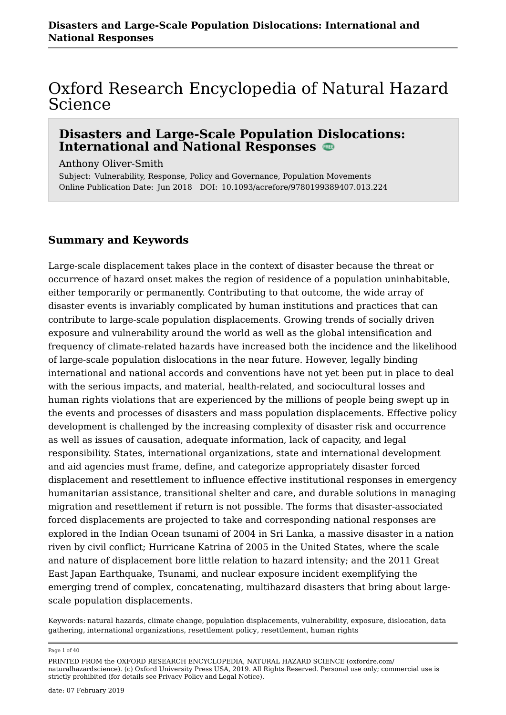### Oxford Research Encyclopedia of Natural Hazard Science

#### **Disasters and Large-Scale Population Dislocations: International and National Responses**

Anthony Oliver-Smith

Subject: Vulnerability, Response, Policy and Governance, Population Movements Online Publication Date: Jun 2018 DOI: 10.1093/acrefore/9780199389407.013.224

#### **Summary and Keywords**

Large-scale displacement takes place in the context of disaster because the threat or occurrence of hazard onset makes the region of residence of a population uninhabitable, either temporarily or permanently. Contributing to that outcome, the wide array of disaster events is invariably complicated by human institutions and practices that can contribute to large-scale population displacements. Growing trends of socially driven exposure and vulnerability around the world as well as the global intensification and frequency of climate-related hazards have increased both the incidence and the likelihood of large-scale population dislocations in the near future. However, legally binding international and national accords and conventions have not yet been put in place to deal with the serious impacts, and material, health-related, and sociocultural losses and human rights violations that are experienced by the millions of people being swept up in the events and processes of disasters and mass population displacements. Effective policy development is challenged by the increasing complexity of disaster risk and occurrence as well as issues of causation, adequate information, lack of capacity, and legal responsibility. States, international organizations, state and international development and aid agencies must frame, define, and categorize appropriately disaster forced displacement and resettlement to influence effective institutional responses in emergency humanitarian assistance, transitional shelter and care, and durable solutions in managing migration and resettlement if return is not possible. The forms that disaster-associated forced displacements are projected to take and corresponding national responses are explored in the Indian Ocean tsunami of 2004 in Sri Lanka, a massive disaster in a nation riven by civil conflict; Hurricane Katrina of 2005 in the United States, where the scale and nature of displacement bore little relation to hazard intensity; and the 2011 Great East Japan Earthquake, Tsunami, and nuclear exposure incident exemplifying the emerging trend of complex, concatenating, multihazard disasters that bring about largescale population displacements.

Keywords: natural hazards, climate change, population displacements, vulnerability, exposure, dislocation, data gathering, international organizations, resettlement policy, resettlement, human rights

Page 1 of 40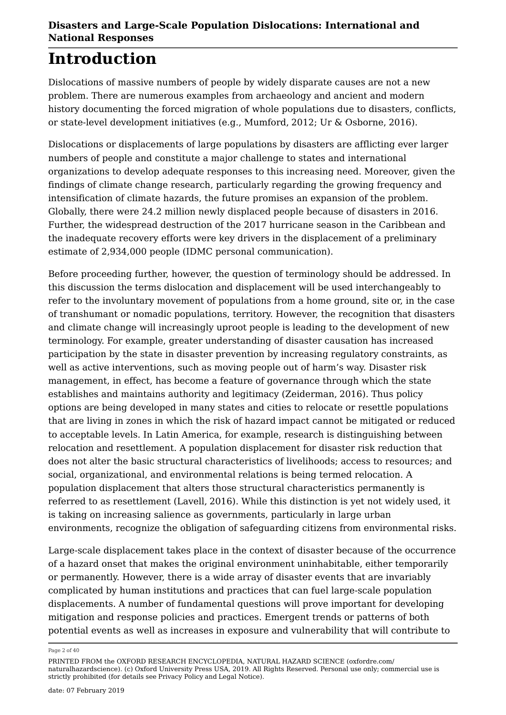# **Introduction**

Dislocations of massive numbers of people by widely disparate causes are not a new problem. There are numerous examples from archaeology and ancient and modern history documenting the forced migration of whole populations due to disasters, conflicts, or state-level development initiatives (e.g., Mumford, 2012; Ur & Osborne, 2016).

Dislocations or displacements of large populations by disasters are afflicting ever larger numbers of people and constitute a major challenge to states and international organizations to develop adequate responses to this increasing need. Moreover, given the findings of climate change research, particularly regarding the growing frequency and intensification of climate hazards, the future promises an expansion of the problem. Globally, there were 24.2 million newly displaced people because of disasters in 2016. Further, the widespread destruction of the 2017 hurricane season in the Caribbean and the inadequate recovery efforts were key drivers in the displacement of a preliminary estimate of 2,934,000 people (IDMC personal communication).

Before proceeding further, however, the question of terminology should be addressed. In this discussion the terms dislocation and displacement will be used interchangeably to refer to the involuntary movement of populations from a home ground, site or, in the case of transhumant or nomadic populations, territory. However, the recognition that disasters and climate change will increasingly uproot people is leading to the development of new terminology. For example, greater understanding of disaster causation has increased participation by the state in disaster prevention by increasing regulatory constraints, as well as active interventions, such as moving people out of harm's way. Disaster risk management, in effect, has become a feature of governance through which the state establishes and maintains authority and legitimacy (Zeiderman, 2016). Thus policy options are being developed in many states and cities to relocate or resettle populations that are living in zones in which the risk of hazard impact cannot be mitigated or reduced to acceptable levels. In Latin America, for example, research is distinguishing between relocation and resettlement. A population displacement for disaster risk reduction that does not alter the basic structural characteristics of livelihoods; access to resources; and social, organizational, and environmental relations is being termed relocation. A population displacement that alters those structural characteristics permanently is referred to as resettlement (Lavell, 2016). While this distinction is yet not widely used, it is taking on increasing salience as governments, particularly in large urban environments, recognize the obligation of safeguarding citizens from environmental risks.

Large-scale displacement takes place in the context of disaster because of the occurrence of a hazard onset that makes the original environment uninhabitable, either temporarily or permanently. However, there is a wide array of disaster events that are invariably complicated by human institutions and practices that can fuel large-scale population displacements. A number of fundamental questions will prove important for developing mitigation and response policies and practices. Emergent trends or patterns of both potential events as well as increases in exposure and vulnerability that will contribute to

Page 2 of 40

PRINTED FROM the OXFORD RESEARCH ENCYCLOPEDIA, NATURAL HAZARD SCIENCE (oxfordre.com/ naturalhazardscience). (c) Oxford University Press USA, 2019. All Rights Reserved. Personal use only; commercial use is strictly prohibited (for details see Privacy Policy and Legal Notice).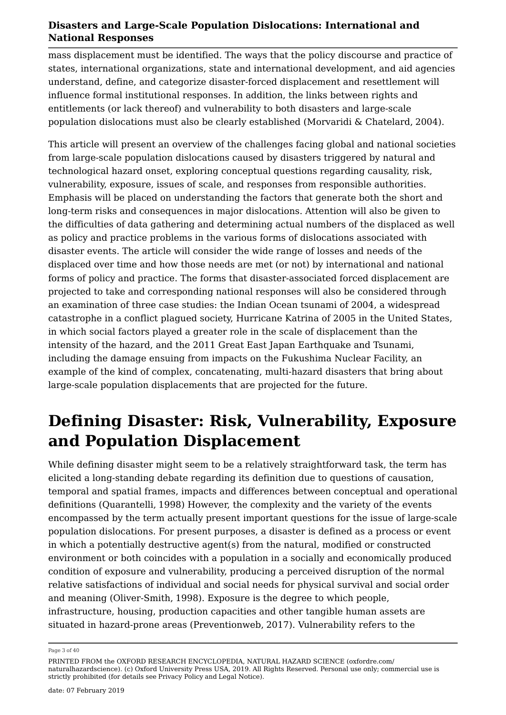mass displacement must be identified. The ways that the policy discourse and practice of states, international organizations, state and international development, and aid agencies understand, define, and categorize disaster-forced displacement and resettlement will influence formal institutional responses. In addition, the links between rights and entitlements (or lack thereof) and vulnerability to both disasters and large-scale population dislocations must also be clearly established (Morvaridi & Chatelard, 2004).

This article will present an overview of the challenges facing global and national societies from large-scale population dislocations caused by disasters triggered by natural and technological hazard onset, exploring conceptual questions regarding causality, risk, vulnerability, exposure, issues of scale, and responses from responsible authorities. Emphasis will be placed on understanding the factors that generate both the short and long-term risks and consequences in major dislocations. Attention will also be given to the difficulties of data gathering and determining actual numbers of the displaced as well as policy and practice problems in the various forms of dislocations associated with disaster events. The article will consider the wide range of losses and needs of the displaced over time and how those needs are met (or not) by international and national forms of policy and practice. The forms that disaster-associated forced displacement are projected to take and corresponding national responses will also be considered through an examination of three case studies: the Indian Ocean tsunami of 2004, a widespread catastrophe in a conflict plagued society, Hurricane Katrina of 2005 in the United States, in which social factors played a greater role in the scale of displacement than the intensity of the hazard, and the 2011 Great East Japan Earthquake and Tsunami, including the damage ensuing from impacts on the Fukushima Nuclear Facility, an example of the kind of complex, concatenating, multi-hazard disasters that bring about large-scale population displacements that are projected for the future.

### **Defining Disaster: Risk, Vulnerability, Exposure and Population Displacement**

While defining disaster might seem to be a relatively straightforward task, the term has elicited a long-standing debate regarding its definition due to questions of causation, temporal and spatial frames, impacts and differences between conceptual and operational definitions (Quarantelli, 1998) However, the complexity and the variety of the events encompassed by the term actually present important questions for the issue of large-scale population dislocations. For present purposes, a disaster is defined as a process or event in which a potentially destructive agent(s) from the natural, modified or constructed environment or both coincides with a population in a socially and economically produced condition of exposure and vulnerability, producing a perceived disruption of the normal relative satisfactions of individual and social needs for physical survival and social order and meaning (Oliver-Smith, 1998). Exposure is the degree to which people, infrastructure, housing, production capacities and other tangible human assets are situated in hazard-prone areas (Preventionweb, 2017). Vulnerability refers to the

Page 3 of 40

PRINTED FROM the OXFORD RESEARCH ENCYCLOPEDIA, NATURAL HAZARD SCIENCE (oxfordre.com/ naturalhazardscience). (c) Oxford University Press USA, 2019. All Rights Reserved. Personal use only; commercial use is strictly prohibited (for details see Privacy Policy and Legal Notice).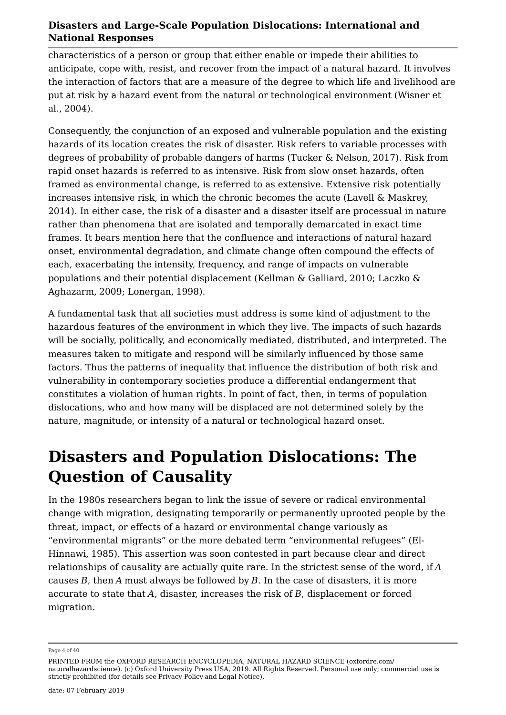characteristics of a person or group that either enable or impede their abilities to anticipate, cope with, resist, and recover from the impact of a natural hazard. It involves the interaction of factors that are a measure of the degree to which life and livelihood are put at risk by a hazard event from the natural or technological environment (Wisner et al., 2004).

Consequently, the conjunction of an exposed and vulnerable population and the existing hazards of its location creates the risk of disaster. Risk refers to variable processes with degrees of probability of probable dangers of harms (Tucker & Nelson, 2017). Risk from rapid onset hazards is referred to as intensive. Risk from slow onset hazards, often framed as environmental change, is referred to as extensive. Extensive risk potentially increases intensive risk, in which the chronic becomes the acute (Lavell & Maskrey, 2014). In either case, the risk of a disaster and a disaster itself are processual in nature rather than phenomena that are isolated and temporally demarcated in exact time frames. It bears mention here that the confluence and interactions of natural hazard onset, environmental degradation, and climate change often compound the effects of each, exacerbating the intensity, frequency, and range of impacts on vulnerable populations and their potential displacement (Kellman & Galliard, 2010; Laczko & Aghazarm, 2009; Lonergan, 1998).

A fundamental task that all societies must address is some kind of adjustment to the hazardous features of the environment in which they live. The impacts of such hazards will be socially, politically, and economically mediated, distributed, and interpreted. The measures taken to mitigate and respond will be similarly influenced by those same factors. Thus the patterns of inequality that influence the distribution of both risk and vulnerability in contemporary societies produce a differential endangerment that constitutes a violation of human rights. In point of fact, then, in terms of population dislocations, who and how many will be displaced are not determined solely by the nature, magnitude, or intensity of a natural or technological hazard onset.

### **Disasters and Population Dislocations: The Question of Causality**

In the 1980s researchers began to link the issue of severe or radical environmental change with migration, designating temporarily or permanently uprooted people by the threat, impact, or effects of a hazard or environmental change variously as "environmental migrants" or the more debated term "environmental refugees" (El-Hinnawi, 1985). This assertion was soon contested in part because clear and direct relationships of causality are actually quite rare. In the strictest sense of the word, if *A* causes *B*, then *A* must always be followed by *B*. In the case of disasters, it is more accurate to state that *A*, disaster, increases the risk of *B*, displacement or forced migration.

Page 4 of 40

PRINTED FROM the OXFORD RESEARCH ENCYCLOPEDIA, NATURAL HAZARD SCIENCE (oxfordre.com/ naturalhazardscience). (c) Oxford University Press USA, 2019. All Rights Reserved. Personal use only; commercial use is strictly prohibited (for details see Privacy Policy and Legal Notice).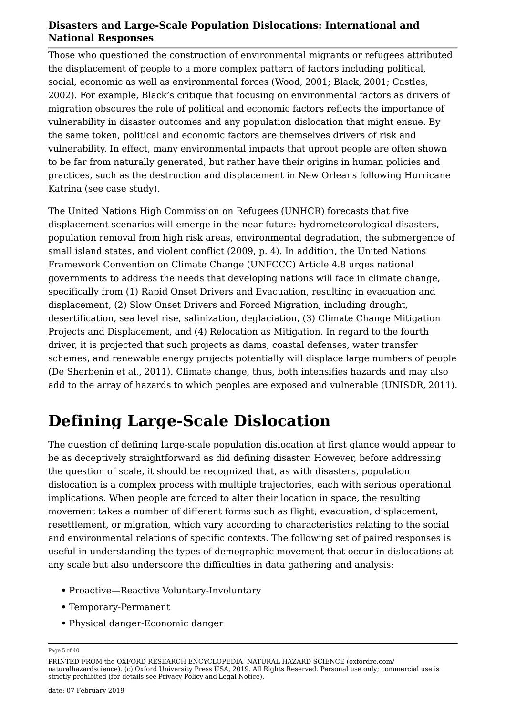Those who questioned the construction of environmental migrants or refugees attributed the displacement of people to a more complex pattern of factors including political, social, economic as well as environmental forces (Wood, 2001; Black, 2001; Castles, 2002). For example, Black's critique that focusing on environmental factors as drivers of migration obscures the role of political and economic factors reflects the importance of vulnerability in disaster outcomes and any population dislocation that might ensue. By the same token, political and economic factors are themselves drivers of risk and vulnerability. In effect, many environmental impacts that uproot people are often shown to be far from naturally generated, but rather have their origins in human policies and practices, such as the destruction and displacement in New Orleans following Hurricane Katrina (see case study).

The United Nations High Commission on Refugees (UNHCR) forecasts that five displacement scenarios will emerge in the near future: hydrometeorological disasters, population removal from high risk areas, environmental degradation, the submergence of small island states, and violent conflict (2009, p. 4). In addition, the United Nations Framework Convention on Climate Change (UNFCCC) Article 4.8 urges national governments to address the needs that developing nations will face in climate change, specifically from (1) Rapid Onset Drivers and Evacuation, resulting in evacuation and displacement, (2) Slow Onset Drivers and Forced Migration, including drought, desertification, sea level rise, salinization, deglaciation, (3) Climate Change Mitigation Projects and Displacement, and (4) Relocation as Mitigation. In regard to the fourth driver, it is projected that such projects as dams, coastal defenses, water transfer schemes, and renewable energy projects potentially will displace large numbers of people (De Sherbenin et al., 2011). Climate change, thus, both intensifies hazards and may also add to the array of hazards to which peoples are exposed and vulnerable (UNISDR, 2011).

# **Defining Large-Scale Dislocation**

The question of defining large-scale population dislocation at first glance would appear to be as deceptively straightforward as did defining disaster. However, before addressing the question of scale, it should be recognized that, as with disasters, population dislocation is a complex process with multiple trajectories, each with serious operational implications. When people are forced to alter their location in space, the resulting movement takes a number of different forms such as flight, evacuation, displacement, resettlement, or migration, which vary according to characteristics relating to the social and environmental relations of specific contexts. The following set of paired responses is useful in understanding the types of demographic movement that occur in dislocations at any scale but also underscore the difficulties in data gathering and analysis:

- **•** Proactive—Reactive Voluntary-Involuntary
- **•** Temporary-Permanent
- **•** Physical danger-Economic danger

Page 5 of 40

PRINTED FROM the OXFORD RESEARCH ENCYCLOPEDIA, NATURAL HAZARD SCIENCE (oxfordre.com/ naturalhazardscience). (c) Oxford University Press USA, 2019. All Rights Reserved. Personal use only; commercial use is strictly prohibited (for details see Privacy Policy and Legal Notice).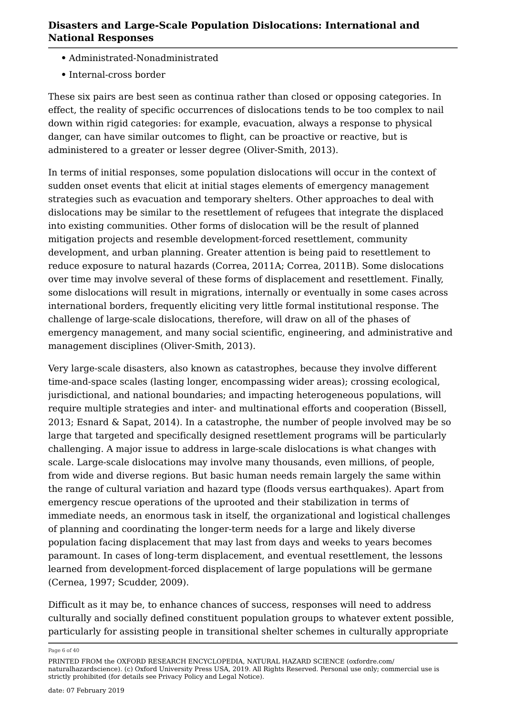- **•** Administrated-Nonadministrated
- **•** Internal-cross border

These six pairs are best seen as continua rather than closed or opposing categories. In effect, the reality of specific occurrences of dislocations tends to be too complex to nail down within rigid categories: for example, evacuation, always a response to physical danger, can have similar outcomes to flight, can be proactive or reactive, but is administered to a greater or lesser degree (Oliver-Smith, 2013).

In terms of initial responses, some population dislocations will occur in the context of sudden onset events that elicit at initial stages elements of emergency management strategies such as evacuation and temporary shelters. Other approaches to deal with dislocations may be similar to the resettlement of refugees that integrate the displaced into existing communities. Other forms of dislocation will be the result of planned mitigation projects and resemble development-forced resettlement, community development, and urban planning. Greater attention is being paid to resettlement to reduce exposure to natural hazards (Correa, 2011A; Correa, 2011B). Some dislocations over time may involve several of these forms of displacement and resettlement. Finally, some dislocations will result in migrations, internally or eventually in some cases across international borders, frequently eliciting very little formal institutional response. The challenge of large-scale dislocations, therefore, will draw on all of the phases of emergency management, and many social scientific, engineering, and administrative and management disciplines (Oliver-Smith, 2013).

Very large-scale disasters, also known as catastrophes, because they involve different time-and-space scales (lasting longer, encompassing wider areas); crossing ecological, jurisdictional, and national boundaries; and impacting heterogeneous populations, will require multiple strategies and inter- and multinational efforts and cooperation (Bissell, 2013; Esnard & Sapat, 2014). In a catastrophe, the number of people involved may be so large that targeted and specifically designed resettlement programs will be particularly challenging. A major issue to address in large-scale dislocations is what changes with scale. Large-scale dislocations may involve many thousands, even millions, of people, from wide and diverse regions. But basic human needs remain largely the same within the range of cultural variation and hazard type (floods versus earthquakes). Apart from emergency rescue operations of the uprooted and their stabilization in terms of immediate needs, an enormous task in itself, the organizational and logistical challenges of planning and coordinating the longer-term needs for a large and likely diverse population facing displacement that may last from days and weeks to years becomes paramount. In cases of long-term displacement, and eventual resettlement, the lessons learned from development-forced displacement of large populations will be germane (Cernea, 1997; Scudder, 2009).

Difficult as it may be, to enhance chances of success, responses will need to address culturally and socially defined constituent population groups to whatever extent possible, particularly for assisting people in transitional shelter schemes in culturally appropriate

Page 6 of 40

PRINTED FROM the OXFORD RESEARCH ENCYCLOPEDIA, NATURAL HAZARD SCIENCE (oxfordre.com/ naturalhazardscience). (c) Oxford University Press USA, 2019. All Rights Reserved. Personal use only; commercial use is strictly prohibited (for details see Privacy Policy and Legal Notice).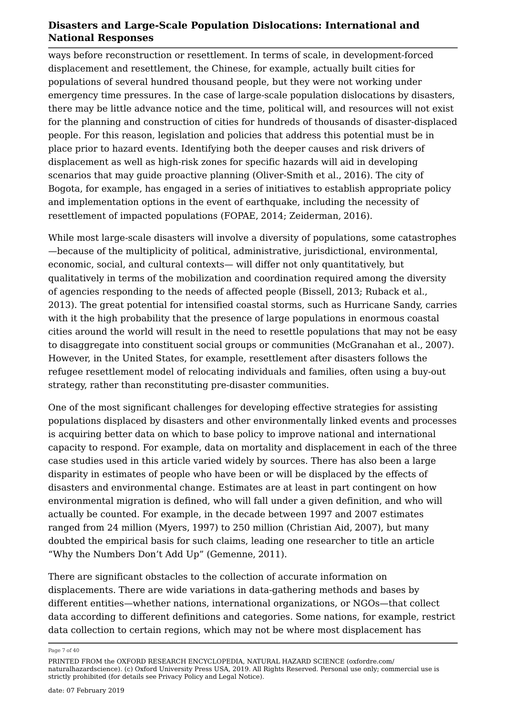ways before reconstruction or resettlement. In terms of scale, in development-forced displacement and resettlement, the Chinese, for example, actually built cities for populations of several hundred thousand people, but they were not working under emergency time pressures. In the case of large-scale population dislocations by disasters, there may be little advance notice and the time, political will, and resources will not exist for the planning and construction of cities for hundreds of thousands of disaster-displaced people. For this reason, legislation and policies that address this potential must be in place prior to hazard events. Identifying both the deeper causes and risk drivers of displacement as well as high-risk zones for specific hazards will aid in developing scenarios that may guide proactive planning (Oliver-Smith et al., 2016). The city of Bogota, for example, has engaged in a series of initiatives to establish appropriate policy and implementation options in the event of earthquake, including the necessity of resettlement of impacted populations (FOPAE, 2014; Zeiderman, 2016).

While most large-scale disasters will involve a diversity of populations, some catastrophes —because of the multiplicity of political, administrative, jurisdictional, environmental, economic, social, and cultural contexts— will differ not only quantitatively, but qualitatively in terms of the mobilization and coordination required among the diversity of agencies responding to the needs of affected people (Bissell, 2013; Ruback et al., 2013). The great potential for intensified coastal storms, such as Hurricane Sandy, carries with it the high probability that the presence of large populations in enormous coastal cities around the world will result in the need to resettle populations that may not be easy to disaggregate into constituent social groups or communities (McGranahan et al., 2007). However, in the United States, for example, resettlement after disasters follows the refugee resettlement model of relocating individuals and families, often using a buy-out strategy, rather than reconstituting pre-disaster communities.

One of the most significant challenges for developing effective strategies for assisting populations displaced by disasters and other environmentally linked events and processes is acquiring better data on which to base policy to improve national and international capacity to respond. For example, data on mortality and displacement in each of the three case studies used in this article varied widely by sources. There has also been a large disparity in estimates of people who have been or will be displaced by the effects of disasters and environmental change. Estimates are at least in part contingent on how environmental migration is defined, who will fall under a given definition, and who will actually be counted. For example, in the decade between 1997 and 2007 estimates ranged from 24 million (Myers, 1997) to 250 million (Christian Aid, 2007), but many doubted the empirical basis for such claims, leading one researcher to title an article "Why the Numbers Don't Add Up" (Gemenne, 2011).

There are significant obstacles to the collection of accurate information on displacements. There are wide variations in data-gathering methods and bases by different entities—whether nations, international organizations, or NGOs—that collect data according to different definitions and categories. Some nations, for example, restrict data collection to certain regions, which may not be where most displacement has

Page 7 of 40

PRINTED FROM the OXFORD RESEARCH ENCYCLOPEDIA, NATURAL HAZARD SCIENCE (oxfordre.com/ naturalhazardscience). (c) Oxford University Press USA, 2019. All Rights Reserved. Personal use only; commercial use is strictly prohibited (for details see Privacy Policy and Legal Notice).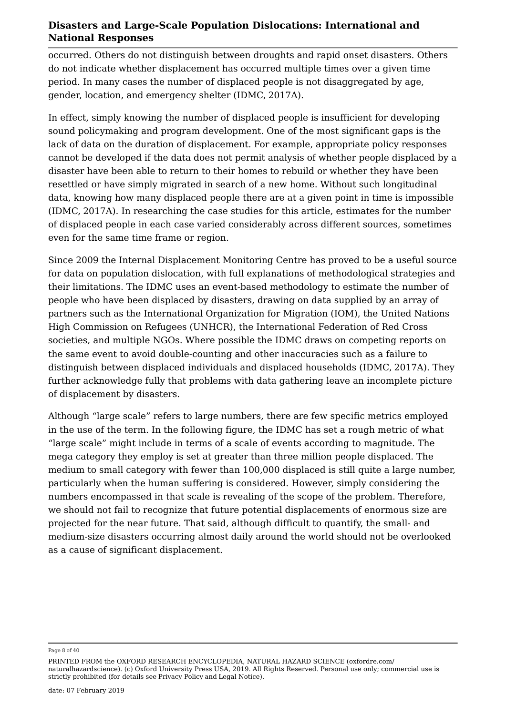occurred. Others do not distinguish between droughts and rapid onset disasters. Others do not indicate whether displacement has occurred multiple times over a given time period. In many cases the number of displaced people is not disaggregated by age, gender, location, and emergency shelter (IDMC, 2017A).

In effect, simply knowing the number of displaced people is insufficient for developing sound policymaking and program development. One of the most significant gaps is the lack of data on the duration of displacement. For example, appropriate policy responses cannot be developed if the data does not permit analysis of whether people displaced by a disaster have been able to return to their homes to rebuild or whether they have been resettled or have simply migrated in search of a new home. Without such longitudinal data, knowing how many displaced people there are at a given point in time is impossible (IDMC, 2017A). In researching the case studies for this article, estimates for the number of displaced people in each case varied considerably across different sources, sometimes even for the same time frame or region.

Since 2009 the Internal Displacement Monitoring Centre has proved to be a useful source for data on population dislocation, with full explanations of methodological strategies and their limitations. The IDMC uses an event-based methodology to estimate the number of people who have been displaced by disasters, drawing on data supplied by an array of partners such as the International Organization for Migration (IOM), the United Nations High Commission on Refugees (UNHCR), the International Federation of Red Cross societies, and multiple NGOs. Where possible the IDMC draws on competing reports on the same event to avoid double-counting and other inaccuracies such as a failure to distinguish between displaced individuals and displaced households (IDMC, 2017A). They further acknowledge fully that problems with data gathering leave an incomplete picture of displacement by disasters.

Although "large scale" refers to large numbers, there are few specific metrics employed in the use of the term. In the following figure, the IDMC has set a rough metric of what "large scale" might include in terms of a scale of events according to magnitude. The mega category they employ is set at greater than three million people displaced. The medium to small category with fewer than 100,000 displaced is still quite a large number, particularly when the human suffering is considered. However, simply considering the numbers encompassed in that scale is revealing of the scope of the problem. Therefore, we should not fail to recognize that future potential displacements of enormous size are projected for the near future. That said, although difficult to quantify, the small- and medium-size disasters occurring almost daily around the world should not be overlooked as a cause of significant displacement.

Page 8 of 40

PRINTED FROM the OXFORD RESEARCH ENCYCLOPEDIA, NATURAL HAZARD SCIENCE (oxfordre.com/ naturalhazardscience). (c) Oxford University Press USA, 2019. All Rights Reserved. Personal use only; commercial use is strictly prohibited (for details see Privacy Policy and Legal Notice).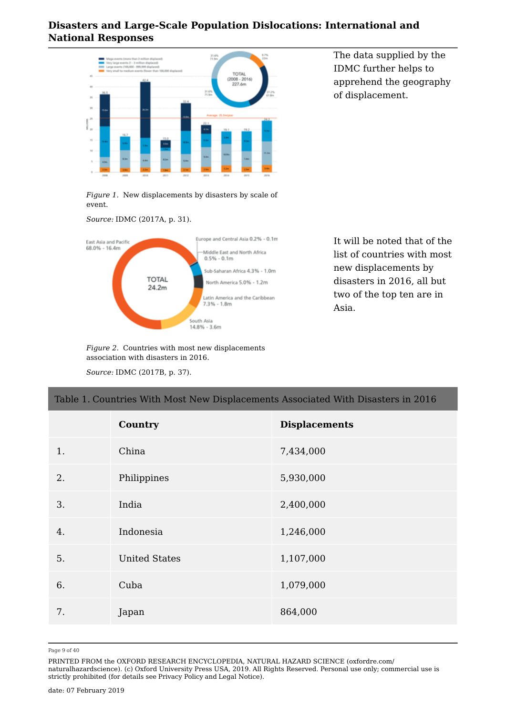

The data supplied by the IDMC further helps to apprehend the geography of displacement.

*Figure 1.* New displacements by disasters by scale of event.

*Source:* IDMC (2017A, p. 31).



It will be noted that of the list of countries with most new displacements by disasters in 2016, all but two of the top ten are in Asia.

*Figure 2.* Countries with most new displacements association with disasters in 2016.

*Source:* IDMC (2017B, p. 37).

# Table 1. Countries With Most New Displacements Associated With Disasters in 2016 **Country Displacements** 1. China 7,434,000 2. Philippines 5,930,000 3. India 2,400,000 4. Indonesia 1,246,000 5. United States 1,107,000 6. Cuba 1,079,000 7. Japan 864,000

Page 9 of 40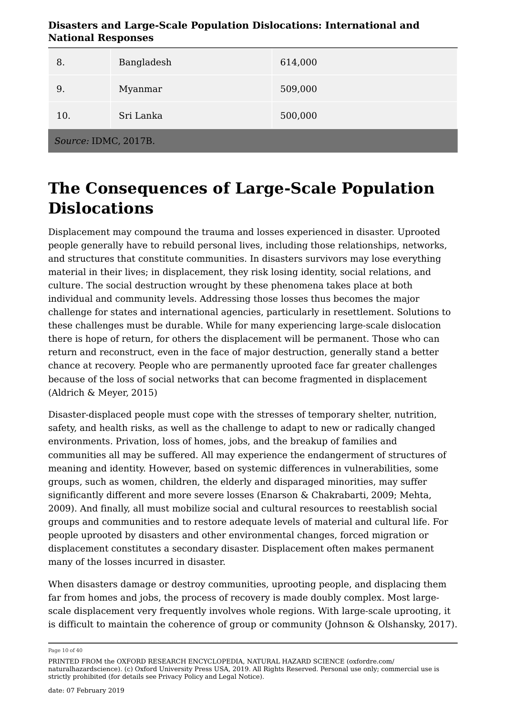| ризисто ана сагде осаге горанитон ризисацииз, нистиацинат ана<br><b>National Responses</b> |            |         |
|--------------------------------------------------------------------------------------------|------------|---------|
| 8.                                                                                         | Bangladesh | 614,000 |
| 9.                                                                                         | Myanmar    | 509,000 |
| 10 <sub>1</sub>                                                                            | Sri Lanka  | 500,000 |

**Disasters and Large-Scale Population Dislocations: International and** 

*Source:* IDMC, 2017B.

### **The Consequences of Large-Scale Population Dislocations**

Displacement may compound the trauma and losses experienced in disaster. Uprooted people generally have to rebuild personal lives, including those relationships, networks, and structures that constitute communities. In disasters survivors may lose everything material in their lives; in displacement, they risk losing identity, social relations, and culture. The social destruction wrought by these phenomena takes place at both individual and community levels. Addressing those losses thus becomes the major challenge for states and international agencies, particularly in resettlement. Solutions to these challenges must be durable. While for many experiencing large-scale dislocation there is hope of return, for others the displacement will be permanent. Those who can return and reconstruct, even in the face of major destruction, generally stand a better chance at recovery. People who are permanently uprooted face far greater challenges because of the loss of social networks that can become fragmented in displacement (Aldrich & Meyer, 2015)

Disaster-displaced people must cope with the stresses of temporary shelter, nutrition, safety, and health risks, as well as the challenge to adapt to new or radically changed environments. Privation, loss of homes, jobs, and the breakup of families and communities all may be suffered. All may experience the endangerment of structures of meaning and identity. However, based on systemic differences in vulnerabilities, some groups, such as women, children, the elderly and disparaged minorities, may suffer significantly different and more severe losses (Enarson & Chakrabarti, 2009; Mehta, 2009). And finally, all must mobilize social and cultural resources to reestablish social groups and communities and to restore adequate levels of material and cultural life. For people uprooted by disasters and other environmental changes, forced migration or displacement constitutes a secondary disaster. Displacement often makes permanent many of the losses incurred in disaster.

When disasters damage or destroy communities, uprooting people, and displacing them far from homes and jobs, the process of recovery is made doubly complex. Most largescale displacement very frequently involves whole regions. With large-scale uprooting, it is difficult to maintain the coherence of group or community (Johnson & Olshansky, 2017).

Page 10 of 40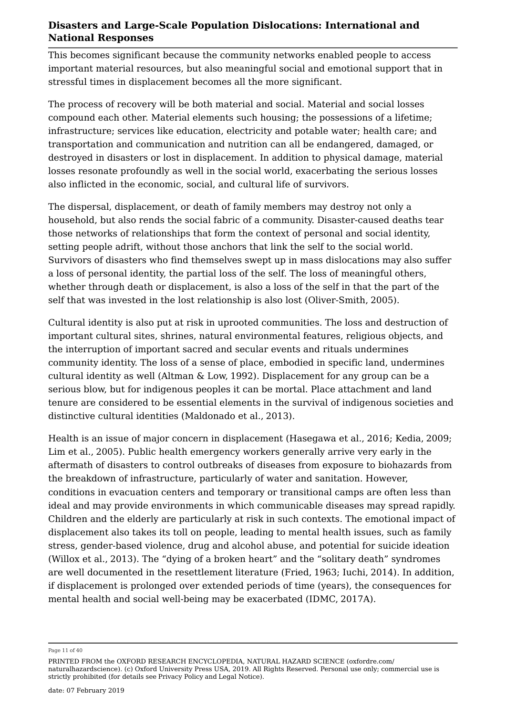This becomes significant because the community networks enabled people to access important material resources, but also meaningful social and emotional support that in stressful times in displacement becomes all the more significant.

The process of recovery will be both material and social. Material and social losses compound each other. Material elements such housing; the possessions of a lifetime; infrastructure; services like education, electricity and potable water; health care; and transportation and communication and nutrition can all be endangered, damaged, or destroyed in disasters or lost in displacement. In addition to physical damage, material losses resonate profoundly as well in the social world, exacerbating the serious losses also inflicted in the economic, social, and cultural life of survivors.

The dispersal, displacement, or death of family members may destroy not only a household, but also rends the social fabric of a community. Disaster-caused deaths tear those networks of relationships that form the context of personal and social identity, setting people adrift, without those anchors that link the self to the social world. Survivors of disasters who find themselves swept up in mass dislocations may also suffer a loss of personal identity, the partial loss of the self. The loss of meaningful others, whether through death or displacement, is also a loss of the self in that the part of the self that was invested in the lost relationship is also lost (Oliver-Smith, 2005).

Cultural identity is also put at risk in uprooted communities. The loss and destruction of important cultural sites, shrines, natural environmental features, religious objects, and the interruption of important sacred and secular events and rituals undermines community identity. The loss of a sense of place, embodied in specific land, undermines cultural identity as well (Altman & Low, 1992). Displacement for any group can be a serious blow, but for indigenous peoples it can be mortal. Place attachment and land tenure are considered to be essential elements in the survival of indigenous societies and distinctive cultural identities (Maldonado et al., 2013).

Health is an issue of major concern in displacement (Hasegawa et al., 2016; Kedia, 2009; Lim et al., 2005). Public health emergency workers generally arrive very early in the aftermath of disasters to control outbreaks of diseases from exposure to biohazards from the breakdown of infrastructure, particularly of water and sanitation. However, conditions in evacuation centers and temporary or transitional camps are often less than ideal and may provide environments in which communicable diseases may spread rapidly. Children and the elderly are particularly at risk in such contexts. The emotional impact of displacement also takes its toll on people, leading to mental health issues, such as family stress, gender-based violence, drug and alcohol abuse, and potential for suicide ideation (Willox et al., 2013). The "dying of a broken heart" and the "solitary death" syndromes are well documented in the resettlement literature (Fried, 1963; Iuchi, 2014). In addition, if displacement is prolonged over extended periods of time (years), the consequences for mental health and social well-being may be exacerbated (IDMC, 2017A).

Page 11 of 40

PRINTED FROM the OXFORD RESEARCH ENCYCLOPEDIA, NATURAL HAZARD SCIENCE (oxfordre.com/ naturalhazardscience). (c) Oxford University Press USA, 2019. All Rights Reserved. Personal use only; commercial use is strictly prohibited (for details see Privacy Policy and Legal Notice).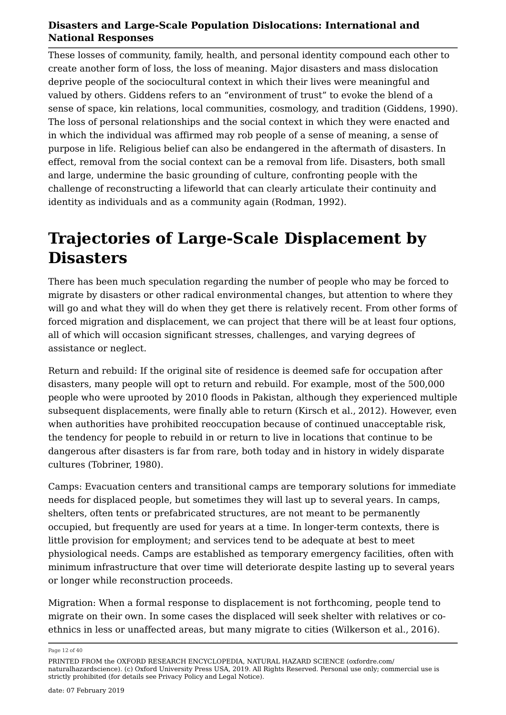These losses of community, family, health, and personal identity compound each other to create another form of loss, the loss of meaning. Major disasters and mass dislocation deprive people of the sociocultural context in which their lives were meaningful and valued by others. Giddens refers to an "environment of trust" to evoke the blend of a sense of space, kin relations, local communities, cosmology, and tradition (Giddens, 1990). The loss of personal relationships and the social context in which they were enacted and in which the individual was affirmed may rob people of a sense of meaning, a sense of purpose in life. Religious belief can also be endangered in the aftermath of disasters. In effect, removal from the social context can be a removal from life. Disasters, both small and large, undermine the basic grounding of culture, confronting people with the challenge of reconstructing a lifeworld that can clearly articulate their continuity and identity as individuals and as a community again (Rodman, 1992).

### **Trajectories of Large-Scale Displacement by Disasters**

There has been much speculation regarding the number of people who may be forced to migrate by disasters or other radical environmental changes, but attention to where they will go and what they will do when they get there is relatively recent. From other forms of forced migration and displacement, we can project that there will be at least four options, all of which will occasion significant stresses, challenges, and varying degrees of assistance or neglect.

Return and rebuild: If the original site of residence is deemed safe for occupation after disasters, many people will opt to return and rebuild. For example, most of the 500,000 people who were uprooted by 2010 floods in Pakistan, although they experienced multiple subsequent displacements, were finally able to return (Kirsch et al., 2012). However, even when authorities have prohibited reoccupation because of continued unacceptable risk, the tendency for people to rebuild in or return to live in locations that continue to be dangerous after disasters is far from rare, both today and in history in widely disparate cultures (Tobriner, 1980).

Camps: Evacuation centers and transitional camps are temporary solutions for immediate needs for displaced people, but sometimes they will last up to several years. In camps, shelters, often tents or prefabricated structures, are not meant to be permanently occupied, but frequently are used for years at a time. In longer-term contexts, there is little provision for employment; and services tend to be adequate at best to meet physiological needs. Camps are established as temporary emergency facilities, often with minimum infrastructure that over time will deteriorate despite lasting up to several years or longer while reconstruction proceeds.

Migration: When a formal response to displacement is not forthcoming, people tend to migrate on their own. In some cases the displaced will seek shelter with relatives or coethnics in less or unaffected areas, but many migrate to cities (Wilkerson et al., 2016).

Page 12 of 40

PRINTED FROM the OXFORD RESEARCH ENCYCLOPEDIA, NATURAL HAZARD SCIENCE (oxfordre.com/ naturalhazardscience). (c) Oxford University Press USA, 2019. All Rights Reserved. Personal use only; commercial use is strictly prohibited (for details see Privacy Policy and Legal Notice).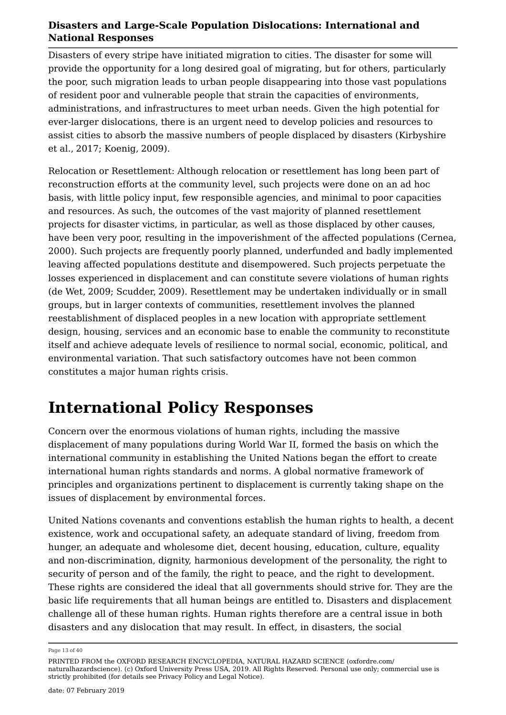Disasters of every stripe have initiated migration to cities. The disaster for some will provide the opportunity for a long desired goal of migrating, but for others, particularly the poor, such migration leads to urban people disappearing into those vast populations of resident poor and vulnerable people that strain the capacities of environments, administrations, and infrastructures to meet urban needs. Given the high potential for ever-larger dislocations, there is an urgent need to develop policies and resources to assist cities to absorb the massive numbers of people displaced by disasters (Kirbyshire et al., 2017; Koenig, 2009).

Relocation or Resettlement: Although relocation or resettlement has long been part of reconstruction efforts at the community level, such projects were done on an ad hoc basis, with little policy input, few responsible agencies, and minimal to poor capacities and resources. As such, the outcomes of the vast majority of planned resettlement projects for disaster victims, in particular, as well as those displaced by other causes, have been very poor, resulting in the impoverishment of the affected populations (Cernea, 2000). Such projects are frequently poorly planned, underfunded and badly implemented leaving affected populations destitute and disempowered. Such projects perpetuate the losses experienced in displacement and can constitute severe violations of human rights (de Wet, 2009; Scudder, 2009). Resettlement may be undertaken individually or in small groups, but in larger contexts of communities, resettlement involves the planned reestablishment of displaced peoples in a new location with appropriate settlement design, housing, services and an economic base to enable the community to reconstitute itself and achieve adequate levels of resilience to normal social, economic, political, and environmental variation. That such satisfactory outcomes have not been common constitutes a major human rights crisis.

### **International Policy Responses**

Concern over the enormous violations of human rights, including the massive displacement of many populations during World War II, formed the basis on which the international community in establishing the United Nations began the effort to create international human rights standards and norms. A global normative framework of principles and organizations pertinent to displacement is currently taking shape on the issues of displacement by environmental forces.

United Nations covenants and conventions establish the human rights to health, a decent existence, work and occupational safety, an adequate standard of living, freedom from hunger, an adequate and wholesome diet, decent housing, education, culture, equality and non-discrimination, dignity, harmonious development of the personality, the right to security of person and of the family, the right to peace, and the right to development. These rights are considered the ideal that all governments should strive for. They are the basic life requirements that all human beings are entitled to. Disasters and displacement challenge all of these human rights. Human rights therefore are a central issue in both disasters and any dislocation that may result. In effect, in disasters, the social

Page 13 of 40

PRINTED FROM the OXFORD RESEARCH ENCYCLOPEDIA, NATURAL HAZARD SCIENCE (oxfordre.com/ naturalhazardscience). (c) Oxford University Press USA, 2019. All Rights Reserved. Personal use only; commercial use is strictly prohibited (for details see Privacy Policy and Legal Notice).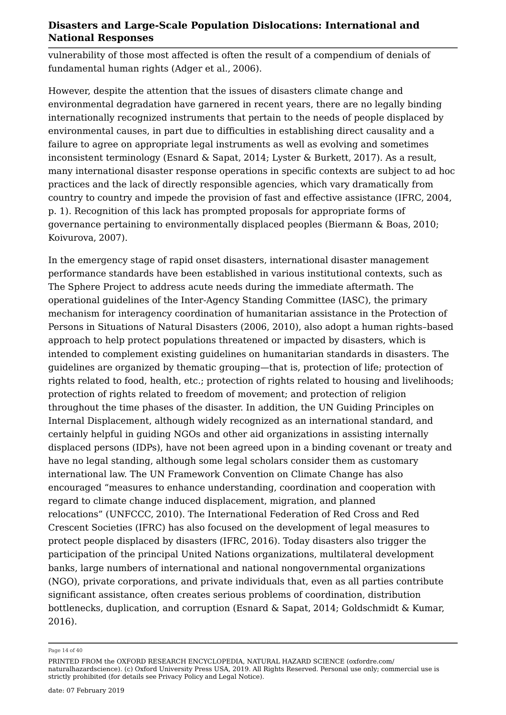vulnerability of those most affected is often the result of a compendium of denials of fundamental human rights (Adger et al., 2006).

However, despite the attention that the issues of disasters climate change and environmental degradation have garnered in recent years, there are no legally binding internationally recognized instruments that pertain to the needs of people displaced by environmental causes, in part due to difficulties in establishing direct causality and a failure to agree on appropriate legal instruments as well as evolving and sometimes inconsistent terminology (Esnard & Sapat, 2014; Lyster & Burkett, 2017). As a result, many international disaster response operations in specific contexts are subject to ad hoc practices and the lack of directly responsible agencies, which vary dramatically from country to country and impede the provision of fast and effective assistance (IFRC, 2004, p. 1). Recognition of this lack has prompted proposals for appropriate forms of governance pertaining to environmentally displaced peoples (Biermann & Boas, 2010; Koivurova, 2007).

In the emergency stage of rapid onset disasters, international disaster management performance standards have been established in various institutional contexts, such as The Sphere Project to address acute needs during the immediate aftermath. The operational guidelines of the Inter-Agency Standing Committee (IASC), the primary mechanism for interagency coordination of humanitarian assistance in the Protection of Persons in Situations of Natural Disasters (2006, 2010), also adopt a human rights–based approach to help protect populations threatened or impacted by disasters, which is intended to complement existing guidelines on humanitarian standards in disasters. The guidelines are organized by thematic grouping—that is, protection of life; protection of rights related to food, health, etc.; protection of rights related to housing and livelihoods; protection of rights related to freedom of movement; and protection of religion throughout the time phases of the disaster. In addition, the UN Guiding Principles on Internal Displacement, although widely recognized as an international standard, and certainly helpful in guiding NGOs and other aid organizations in assisting internally displaced persons (IDPs), have not been agreed upon in a binding covenant or treaty and have no legal standing, although some legal scholars consider them as customary international law. The UN Framework Convention on Climate Change has also encouraged "measures to enhance understanding, coordination and cooperation with regard to climate change induced displacement, migration, and planned relocations" (UNFCCC, 2010). The International Federation of Red Cross and Red Crescent Societies (IFRC) has also focused on the development of legal measures to protect people displaced by disasters (IFRC, 2016). Today disasters also trigger the participation of the principal United Nations organizations, multilateral development banks, large numbers of international and national nongovernmental organizations (NGO), private corporations, and private individuals that, even as all parties contribute significant assistance, often creates serious problems of coordination, distribution bottlenecks, duplication, and corruption (Esnard & Sapat, 2014; Goldschmidt & Kumar, 2016).

Page 14 of 40

PRINTED FROM the OXFORD RESEARCH ENCYCLOPEDIA, NATURAL HAZARD SCIENCE (oxfordre.com/ naturalhazardscience). (c) Oxford University Press USA, 2019. All Rights Reserved. Personal use only; commercial use is strictly prohibited (for details see Privacy Policy and Legal Notice).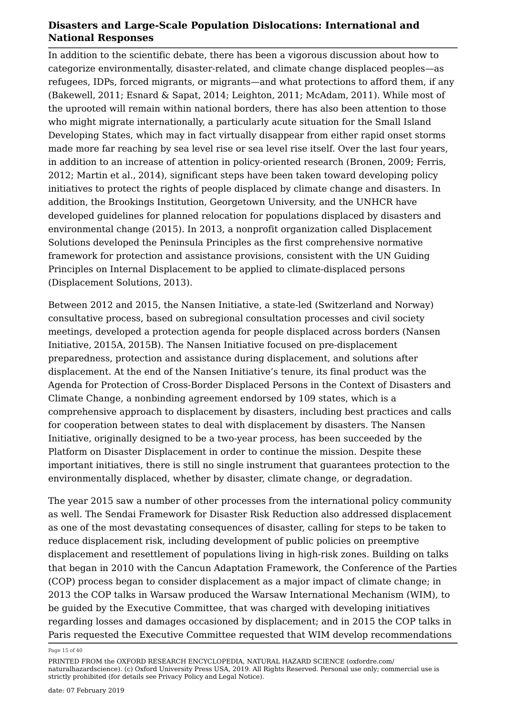In addition to the scientific debate, there has been a vigorous discussion about how to categorize environmentally, disaster-related, and climate change displaced peoples—as refugees, IDPs, forced migrants, or migrants—and what protections to afford them, if any (Bakewell, 2011; Esnard & Sapat, 2014; Leighton, 2011; McAdam, 2011). While most of the uprooted will remain within national borders, there has also been attention to those who might migrate internationally, a particularly acute situation for the Small Island Developing States, which may in fact virtually disappear from either rapid onset storms made more far reaching by sea level rise or sea level rise itself. Over the last four years, in addition to an increase of attention in policy-oriented research (Bronen, 2009; Ferris, 2012; Martin et al., 2014), significant steps have been taken toward developing policy initiatives to protect the rights of people displaced by climate change and disasters. In addition, the Brookings Institution, Georgetown University, and the UNHCR have developed guidelines for planned relocation for populations displaced by disasters and environmental change (2015). In 2013, a nonprofit organization called Displacement Solutions developed the Peninsula Principles as the first comprehensive normative framework for protection and assistance provisions, consistent with the UN Guiding Principles on Internal Displacement to be applied to climate-displaced persons (Displacement Solutions, 2013).

Between 2012 and 2015, the Nansen Initiative, a state-led (Switzerland and Norway) consultative process, based on subregional consultation processes and civil society meetings, developed a protection agenda for people displaced across borders (Nansen Initiative, 2015A, 2015B). The Nansen Initiative focused on pre-displacement preparedness, protection and assistance during displacement, and solutions after displacement. At the end of the Nansen Initiative's tenure, its final product was the Agenda for Protection of Cross-Border Displaced Persons in the Context of Disasters and Climate Change, a nonbinding agreement endorsed by 109 states, which is a comprehensive approach to displacement by disasters, including best practices and calls for cooperation between states to deal with displacement by disasters. The Nansen Initiative, originally designed to be a two-year process, has been succeeded by the Platform on Disaster Displacement in order to continue the mission. Despite these important initiatives, there is still no single instrument that guarantees protection to the environmentally displaced, whether by disaster, climate change, or degradation.

The year 2015 saw a number of other processes from the international policy community as well. The Sendai Framework for Disaster Risk Reduction also addressed displacement as one of the most devastating consequences of disaster, calling for steps to be taken to reduce displacement risk, including development of public policies on preemptive displacement and resettlement of populations living in high-risk zones. Building on talks that began in 2010 with the Cancun Adaptation Framework, the Conference of the Parties (COP) process began to consider displacement as a major impact of climate change; in 2013 the COP talks in Warsaw produced the Warsaw International Mechanism (WIM), to be guided by the Executive Committee, that was charged with developing initiatives regarding losses and damages occasioned by displacement; and in 2015 the COP talks in Paris requested the Executive Committee requested that WIM develop recommendations

Page 15 of 40

PRINTED FROM the OXFORD RESEARCH ENCYCLOPEDIA, NATURAL HAZARD SCIENCE (oxfordre.com/ naturalhazardscience). (c) Oxford University Press USA, 2019. All Rights Reserved. Personal use only; commercial use is strictly prohibited (for details see Privacy Policy and Legal Notice).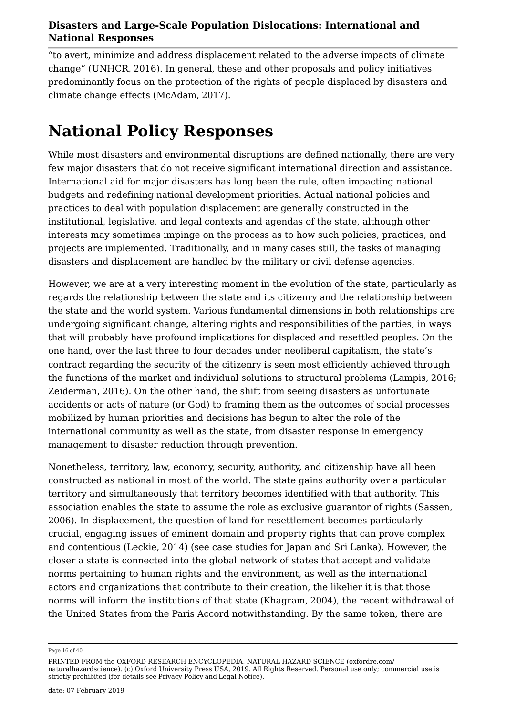"to avert, minimize and address displacement related to the adverse impacts of climate change" (UNHCR, 2016). In general, these and other proposals and policy initiatives predominantly focus on the protection of the rights of people displaced by disasters and climate change effects (McAdam, 2017).

# **National Policy Responses**

While most disasters and environmental disruptions are defined nationally, there are very few major disasters that do not receive significant international direction and assistance. International aid for major disasters has long been the rule, often impacting national budgets and redefining national development priorities. Actual national policies and practices to deal with population displacement are generally constructed in the institutional, legislative, and legal contexts and agendas of the state, although other interests may sometimes impinge on the process as to how such policies, practices, and projects are implemented. Traditionally, and in many cases still, the tasks of managing disasters and displacement are handled by the military or civil defense agencies.

However, we are at a very interesting moment in the evolution of the state, particularly as regards the relationship between the state and its citizenry and the relationship between the state and the world system. Various fundamental dimensions in both relationships are undergoing significant change, altering rights and responsibilities of the parties, in ways that will probably have profound implications for displaced and resettled peoples. On the one hand, over the last three to four decades under neoliberal capitalism, the state's contract regarding the security of the citizenry is seen most efficiently achieved through the functions of the market and individual solutions to structural problems (Lampis, 2016; Zeiderman, 2016). On the other hand, the shift from seeing disasters as unfortunate accidents or acts of nature (or God) to framing them as the outcomes of social processes mobilized by human priorities and decisions has begun to alter the role of the international community as well as the state, from disaster response in emergency management to disaster reduction through prevention.

Nonetheless, territory, law, economy, security, authority, and citizenship have all been constructed as national in most of the world. The state gains authority over a particular territory and simultaneously that territory becomes identified with that authority. This association enables the state to assume the role as exclusive guarantor of rights (Sassen, 2006). In displacement, the question of land for resettlement becomes particularly crucial, engaging issues of eminent domain and property rights that can prove complex and contentious (Leckie, 2014) (see case studies for Japan and Sri Lanka). However, the closer a state is connected into the global network of states that accept and validate norms pertaining to human rights and the environment, as well as the international actors and organizations that contribute to their creation, the likelier it is that those norms will inform the institutions of that state (Khagram, 2004), the recent withdrawal of the United States from the Paris Accord notwithstanding. By the same token, there are

Page 16 of 40

PRINTED FROM the OXFORD RESEARCH ENCYCLOPEDIA, NATURAL HAZARD SCIENCE (oxfordre.com/ naturalhazardscience). (c) Oxford University Press USA, 2019. All Rights Reserved. Personal use only; commercial use is strictly prohibited (for details see Privacy Policy and Legal Notice).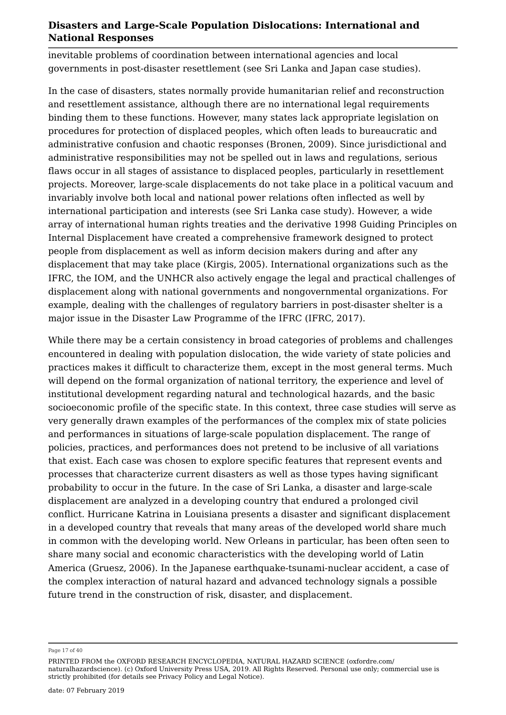inevitable problems of coordination between international agencies and local governments in post-disaster resettlement (see Sri Lanka and Japan case studies).

In the case of disasters, states normally provide humanitarian relief and reconstruction and resettlement assistance, although there are no international legal requirements binding them to these functions. However, many states lack appropriate legislation on procedures for protection of displaced peoples, which often leads to bureaucratic and administrative confusion and chaotic responses (Bronen, 2009). Since jurisdictional and administrative responsibilities may not be spelled out in laws and regulations, serious flaws occur in all stages of assistance to displaced peoples, particularly in resettlement projects. Moreover, large-scale displacements do not take place in a political vacuum and invariably involve both local and national power relations often inflected as well by international participation and interests (see Sri Lanka case study). However, a wide array of international human rights treaties and the derivative 1998 Guiding Principles on Internal Displacement have created a comprehensive framework designed to protect people from displacement as well as inform decision makers during and after any displacement that may take place (Kirgis, 2005). International organizations such as the IFRC, the IOM, and the UNHCR also actively engage the legal and practical challenges of displacement along with national governments and nongovernmental organizations. For example, dealing with the challenges of regulatory barriers in post-disaster shelter is a major issue in the Disaster Law Programme of the IFRC (IFRC, 2017).

While there may be a certain consistency in broad categories of problems and challenges encountered in dealing with population dislocation, the wide variety of state policies and practices makes it difficult to characterize them, except in the most general terms. Much will depend on the formal organization of national territory, the experience and level of institutional development regarding natural and technological hazards, and the basic socioeconomic profile of the specific state. In this context, three case studies will serve as very generally drawn examples of the performances of the complex mix of state policies and performances in situations of large-scale population displacement. The range of policies, practices, and performances does not pretend to be inclusive of all variations that exist. Each case was chosen to explore specific features that represent events and processes that characterize current disasters as well as those types having significant probability to occur in the future. In the case of Sri Lanka, a disaster and large-scale displacement are analyzed in a developing country that endured a prolonged civil conflict. Hurricane Katrina in Louisiana presents a disaster and significant displacement in a developed country that reveals that many areas of the developed world share much in common with the developing world. New Orleans in particular, has been often seen to share many social and economic characteristics with the developing world of Latin America (Gruesz, 2006). In the Japanese earthquake-tsunami-nuclear accident, a case of the complex interaction of natural hazard and advanced technology signals a possible future trend in the construction of risk, disaster, and displacement.

Page 17 of 40

PRINTED FROM the OXFORD RESEARCH ENCYCLOPEDIA, NATURAL HAZARD SCIENCE (oxfordre.com/ naturalhazardscience). (c) Oxford University Press USA, 2019. All Rights Reserved. Personal use only; commercial use is strictly prohibited (for details see Privacy Policy and Legal Notice).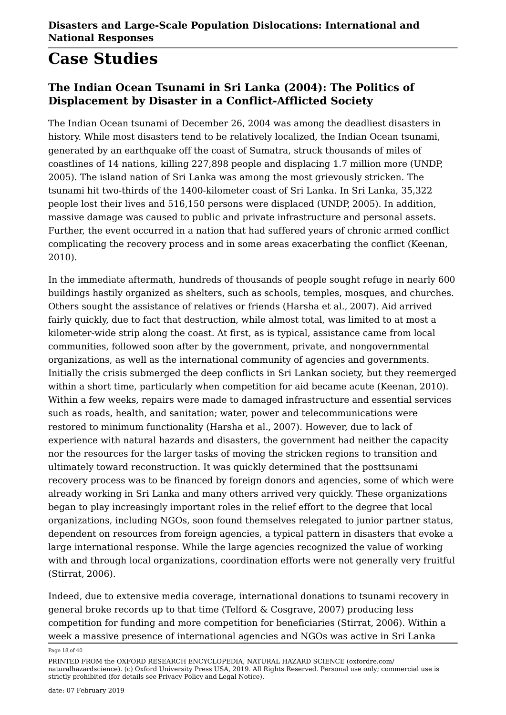# **Case Studies**

#### **The Indian Ocean Tsunami in Sri Lanka (2004): The Politics of Displacement by Disaster in a Conflict-Afflicted Society**

The Indian Ocean tsunami of December 26, 2004 was among the deadliest disasters in history. While most disasters tend to be relatively localized, the Indian Ocean tsunami, generated by an earthquake off the coast of Sumatra, struck thousands of miles of coastlines of 14 nations, killing 227,898 people and displacing 1.7 million more (UNDP, 2005). The island nation of Sri Lanka was among the most grievously stricken. The tsunami hit two-thirds of the 1400-kilometer coast of Sri Lanka. In Sri Lanka, 35,322 people lost their lives and 516,150 persons were displaced (UNDP, 2005). In addition, massive damage was caused to public and private infrastructure and personal assets. Further, the event occurred in a nation that had suffered years of chronic armed conflict complicating the recovery process and in some areas exacerbating the conflict (Keenan, 2010).

In the immediate aftermath, hundreds of thousands of people sought refuge in nearly 600 buildings hastily organized as shelters, such as schools, temples, mosques, and churches. Others sought the assistance of relatives or friends (Harsha et al., 2007). Aid arrived fairly quickly, due to fact that destruction, while almost total, was limited to at most a kilometer-wide strip along the coast. At first, as is typical, assistance came from local communities, followed soon after by the government, private, and nongovernmental organizations, as well as the international community of agencies and governments. Initially the crisis submerged the deep conflicts in Sri Lankan society, but they reemerged within a short time, particularly when competition for aid became acute (Keenan, 2010). Within a few weeks, repairs were made to damaged infrastructure and essential services such as roads, health, and sanitation; water, power and telecommunications were restored to minimum functionality (Harsha et al., 2007). However, due to lack of experience with natural hazards and disasters, the government had neither the capacity nor the resources for the larger tasks of moving the stricken regions to transition and ultimately toward reconstruction. It was quickly determined that the posttsunami recovery process was to be financed by foreign donors and agencies, some of which were already working in Sri Lanka and many others arrived very quickly. These organizations began to play increasingly important roles in the relief effort to the degree that local organizations, including NGOs, soon found themselves relegated to junior partner status, dependent on resources from foreign agencies, a typical pattern in disasters that evoke a large international response. While the large agencies recognized the value of working with and through local organizations, coordination efforts were not generally very fruitful (Stirrat, 2006).

Indeed, due to extensive media coverage, international donations to tsunami recovery in general broke records up to that time (Telford & Cosgrave, 2007) producing less competition for funding and more competition for beneficiaries (Stirrat, 2006). Within a week a massive presence of international agencies and NGOs was active in Sri Lanka

Page 18 of 40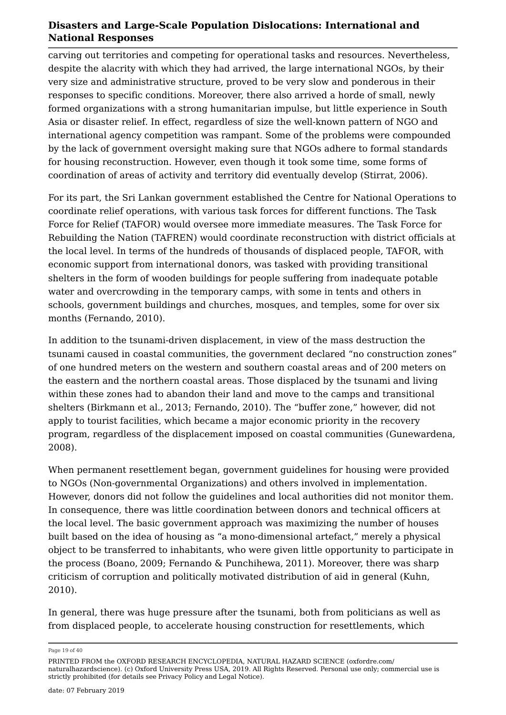carving out territories and competing for operational tasks and resources. Nevertheless, despite the alacrity with which they had arrived, the large international NGOs, by their very size and administrative structure, proved to be very slow and ponderous in their responses to specific conditions. Moreover, there also arrived a horde of small, newly formed organizations with a strong humanitarian impulse, but little experience in South Asia or disaster relief. In effect, regardless of size the well-known pattern of NGO and international agency competition was rampant. Some of the problems were compounded by the lack of government oversight making sure that NGOs adhere to formal standards for housing reconstruction. However, even though it took some time, some forms of coordination of areas of activity and territory did eventually develop (Stirrat, 2006).

For its part, the Sri Lankan government established the Centre for National Operations to coordinate relief operations, with various task forces for different functions. The Task Force for Relief (TAFOR) would oversee more immediate measures. The Task Force for Rebuilding the Nation (TAFREN) would coordinate reconstruction with district officials at the local level. In terms of the hundreds of thousands of displaced people, TAFOR, with economic support from international donors, was tasked with providing transitional shelters in the form of wooden buildings for people suffering from inadequate potable water and overcrowding in the temporary camps, with some in tents and others in schools, government buildings and churches, mosques, and temples, some for over six months (Fernando, 2010).

In addition to the tsunami-driven displacement, in view of the mass destruction the tsunami caused in coastal communities, the government declared "no construction zones" of one hundred meters on the western and southern coastal areas and of 200 meters on the eastern and the northern coastal areas. Those displaced by the tsunami and living within these zones had to abandon their land and move to the camps and transitional shelters (Birkmann et al., 2013; Fernando, 2010). The "buffer zone," however, did not apply to tourist facilities, which became a major economic priority in the recovery program, regardless of the displacement imposed on coastal communities (Gunewardena, 2008).

When permanent resettlement began, government guidelines for housing were provided to NGOs (Non-governmental Organizations) and others involved in implementation. However, donors did not follow the guidelines and local authorities did not monitor them. In consequence, there was little coordination between donors and technical officers at the local level. The basic government approach was maximizing the number of houses built based on the idea of housing as "a mono-dimensional artefact," merely a physical object to be transferred to inhabitants, who were given little opportunity to participate in the process (Boano, 2009; Fernando & Punchihewa, 2011). Moreover, there was sharp criticism of corruption and politically motivated distribution of aid in general (Kuhn, 2010).

In general, there was huge pressure after the tsunami, both from politicians as well as from displaced people, to accelerate housing construction for resettlements, which

Page 19 of 40

PRINTED FROM the OXFORD RESEARCH ENCYCLOPEDIA, NATURAL HAZARD SCIENCE (oxfordre.com/ naturalhazardscience). (c) Oxford University Press USA, 2019. All Rights Reserved. Personal use only; commercial use is strictly prohibited (for details see Privacy Policy and Legal Notice).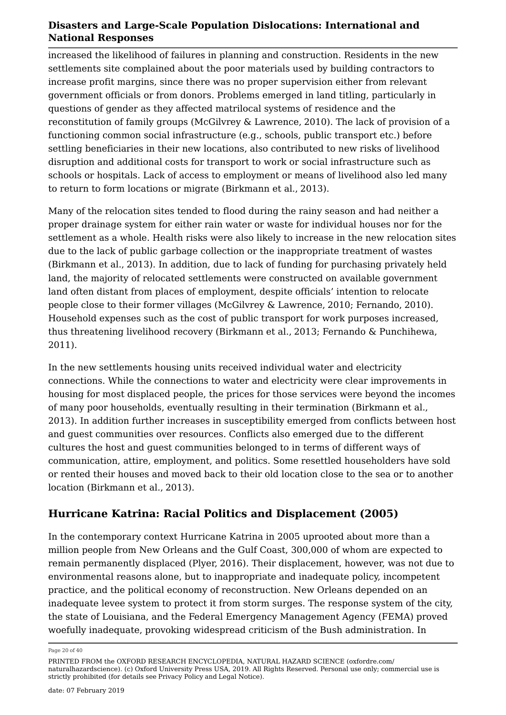increased the likelihood of failures in planning and construction. Residents in the new settlements site complained about the poor materials used by building contractors to increase profit margins, since there was no proper supervision either from relevant government officials or from donors. Problems emerged in land titling, particularly in questions of gender as they affected matrilocal systems of residence and the reconstitution of family groups (McGilvrey & Lawrence, 2010). The lack of provision of a functioning common social infrastructure (e.g., schools, public transport etc.) before settling beneficiaries in their new locations, also contributed to new risks of livelihood disruption and additional costs for transport to work or social infrastructure such as schools or hospitals. Lack of access to employment or means of livelihood also led many to return to form locations or migrate (Birkmann et al., 2013).

Many of the relocation sites tended to flood during the rainy season and had neither a proper drainage system for either rain water or waste for individual houses nor for the settlement as a whole. Health risks were also likely to increase in the new relocation sites due to the lack of public garbage collection or the inappropriate treatment of wastes (Birkmann et al., 2013). In addition, due to lack of funding for purchasing privately held land, the majority of relocated settlements were constructed on available government land often distant from places of employment, despite officials' intention to relocate people close to their former villages (McGilvrey & Lawrence, 2010; Fernando, 2010). Household expenses such as the cost of public transport for work purposes increased, thus threatening livelihood recovery (Birkmann et al., 2013; Fernando & Punchihewa, 2011).

In the new settlements housing units received individual water and electricity connections. While the connections to water and electricity were clear improvements in housing for most displaced people, the prices for those services were beyond the incomes of many poor households, eventually resulting in their termination (Birkmann et al., 2013). In addition further increases in susceptibility emerged from conflicts between host and guest communities over resources. Conflicts also emerged due to the different cultures the host and guest communities belonged to in terms of different ways of communication, attire, employment, and politics. Some resettled householders have sold or rented their houses and moved back to their old location close to the sea or to another location (Birkmann et al., 2013).

#### **Hurricane Katrina: Racial Politics and Displacement (2005)**

In the contemporary context Hurricane Katrina in 2005 uprooted about more than a million people from New Orleans and the Gulf Coast, 300,000 of whom are expected to remain permanently displaced (Plyer, 2016). Their displacement, however, was not due to environmental reasons alone, but to inappropriate and inadequate policy, incompetent practice, and the political economy of reconstruction. New Orleans depended on an inadequate levee system to protect it from storm surges. The response system of the city, the state of Louisiana, and the Federal Emergency Management Agency (FEMA) proved woefully inadequate, provoking widespread criticism of the Bush administration. In

Page 20 of 40

PRINTED FROM the OXFORD RESEARCH ENCYCLOPEDIA, NATURAL HAZARD SCIENCE (oxfordre.com/ naturalhazardscience). (c) Oxford University Press USA, 2019. All Rights Reserved. Personal use only; commercial use is strictly prohibited (for details see Privacy Policy and Legal Notice).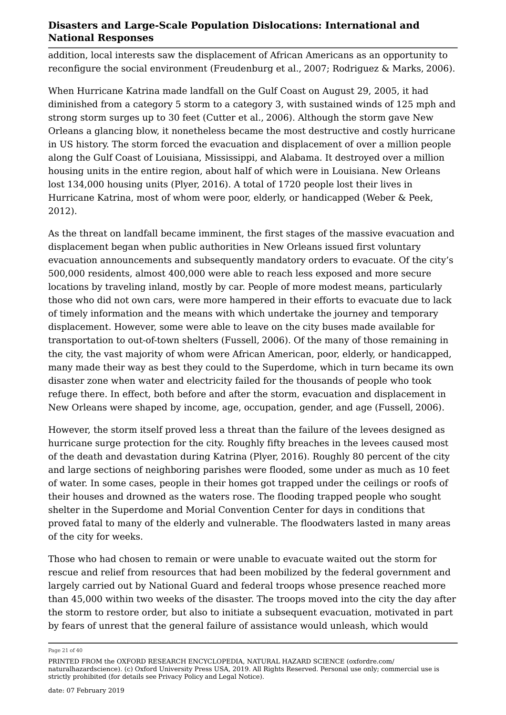addition, local interests saw the displacement of African Americans as an opportunity to reconfigure the social environment (Freudenburg et al., 2007; Rodriguez & Marks, 2006).

When Hurricane Katrina made landfall on the Gulf Coast on August 29, 2005, it had diminished from a category 5 storm to a category 3, with sustained winds of 125 mph and strong storm surges up to 30 feet (Cutter et al., 2006). Although the storm gave New Orleans a glancing blow, it nonetheless became the most destructive and costly hurricane in US history. The storm forced the evacuation and displacement of over a million people along the Gulf Coast of Louisiana, Mississippi, and Alabama. It destroyed over a million housing units in the entire region, about half of which were in Louisiana. New Orleans lost 134,000 housing units (Plyer, 2016). A total of 1720 people lost their lives in Hurricane Katrina, most of whom were poor, elderly, or handicapped (Weber & Peek, 2012).

As the threat on landfall became imminent, the first stages of the massive evacuation and displacement began when public authorities in New Orleans issued first voluntary evacuation announcements and subsequently mandatory orders to evacuate. Of the city's 500,000 residents, almost 400,000 were able to reach less exposed and more secure locations by traveling inland, mostly by car. People of more modest means, particularly those who did not own cars, were more hampered in their efforts to evacuate due to lack of timely information and the means with which undertake the journey and temporary displacement. However, some were able to leave on the city buses made available for transportation to out-of-town shelters (Fussell, 2006). Of the many of those remaining in the city, the vast majority of whom were African American, poor, elderly, or handicapped, many made their way as best they could to the Superdome, which in turn became its own disaster zone when water and electricity failed for the thousands of people who took refuge there. In effect, both before and after the storm, evacuation and displacement in New Orleans were shaped by income, age, occupation, gender, and age (Fussell, 2006).

However, the storm itself proved less a threat than the failure of the levees designed as hurricane surge protection for the city. Roughly fifty breaches in the levees caused most of the death and devastation during Katrina (Plyer, 2016). Roughly 80 percent of the city and large sections of neighboring parishes were flooded, some under as much as 10 feet of water. In some cases, people in their homes got trapped under the ceilings or roofs of their houses and drowned as the waters rose. The flooding trapped people who sought shelter in the Superdome and Morial Convention Center for days in conditions that proved fatal to many of the elderly and vulnerable. The floodwaters lasted in many areas of the city for weeks.

Those who had chosen to remain or were unable to evacuate waited out the storm for rescue and relief from resources that had been mobilized by the federal government and largely carried out by National Guard and federal troops whose presence reached more than 45,000 within two weeks of the disaster. The troops moved into the city the day after the storm to restore order, but also to initiate a subsequent evacuation, motivated in part by fears of unrest that the general failure of assistance would unleash, which would

Page 21 of 40

PRINTED FROM the OXFORD RESEARCH ENCYCLOPEDIA, NATURAL HAZARD SCIENCE (oxfordre.com/ naturalhazardscience). (c) Oxford University Press USA, 2019. All Rights Reserved. Personal use only; commercial use is strictly prohibited (for details see Privacy Policy and Legal Notice).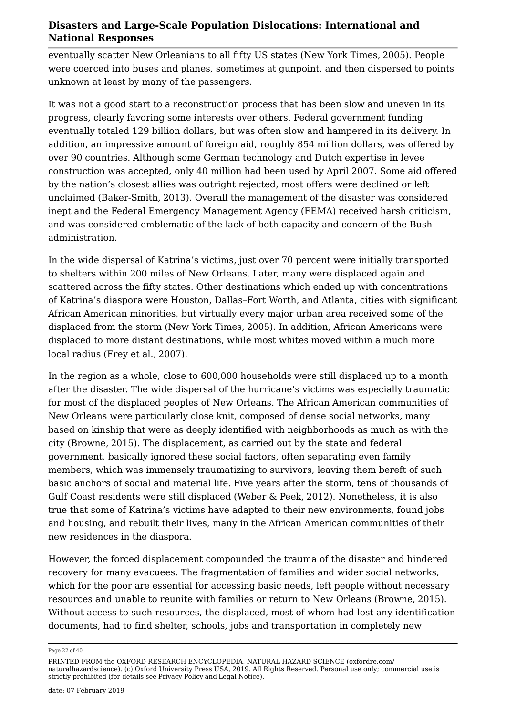eventually scatter New Orleanians to all fifty US states (New York Times, 2005). People were coerced into buses and planes, sometimes at gunpoint, and then dispersed to points unknown at least by many of the passengers.

It was not a good start to a reconstruction process that has been slow and uneven in its progress, clearly favoring some interests over others. Federal government funding eventually totaled 129 billion dollars, but was often slow and hampered in its delivery. In addition, an impressive amount of foreign aid, roughly 854 million dollars, was offered by over 90 countries. Although some German technology and Dutch expertise in levee construction was accepted, only 40 million had been used by April 2007. Some aid offered by the nation's closest allies was outright rejected, most offers were declined or left unclaimed (Baker-Smith, 2013). Overall the management of the disaster was considered inept and the Federal Emergency Management Agency (FEMA) received harsh criticism, and was considered emblematic of the lack of both capacity and concern of the Bush administration.

In the wide dispersal of Katrina's victims, just over 70 percent were initially transported to shelters within 200 miles of New Orleans. Later, many were displaced again and scattered across the fifty states. Other destinations which ended up with concentrations of Katrina's diaspora were Houston, Dallas–Fort Worth, and Atlanta, cities with significant African American minorities, but virtually every major urban area received some of the displaced from the storm (New York Times, 2005). In addition, African Americans were displaced to more distant destinations, while most whites moved within a much more local radius (Frey et al., 2007).

In the region as a whole, close to 600,000 households were still displaced up to a month after the disaster. The wide dispersal of the hurricane's victims was especially traumatic for most of the displaced peoples of New Orleans. The African American communities of New Orleans were particularly close knit, composed of dense social networks, many based on kinship that were as deeply identified with neighborhoods as much as with the city (Browne, 2015). The displacement, as carried out by the state and federal government, basically ignored these social factors, often separating even family members, which was immensely traumatizing to survivors, leaving them bereft of such basic anchors of social and material life. Five years after the storm, tens of thousands of Gulf Coast residents were still displaced (Weber & Peek, 2012). Nonetheless, it is also true that some of Katrina's victims have adapted to their new environments, found jobs and housing, and rebuilt their lives, many in the African American communities of their new residences in the diaspora.

However, the forced displacement compounded the trauma of the disaster and hindered recovery for many evacuees. The fragmentation of families and wider social networks, which for the poor are essential for accessing basic needs, left people without necessary resources and unable to reunite with families or return to New Orleans (Browne, 2015). Without access to such resources, the displaced, most of whom had lost any identification documents, had to find shelter, schools, jobs and transportation in completely new

Page 22 of 40

PRINTED FROM the OXFORD RESEARCH ENCYCLOPEDIA, NATURAL HAZARD SCIENCE (oxfordre.com/ naturalhazardscience). (c) Oxford University Press USA, 2019. All Rights Reserved. Personal use only; commercial use is strictly prohibited (for details see Privacy Policy and Legal Notice).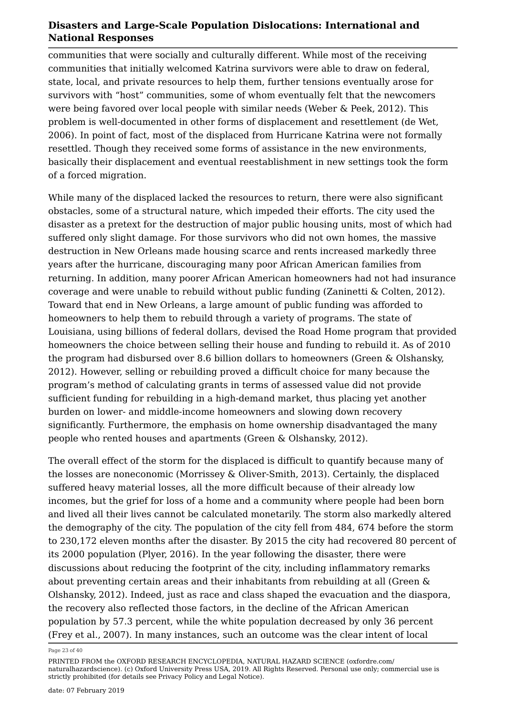communities that were socially and culturally different. While most of the receiving communities that initially welcomed Katrina survivors were able to draw on federal, state, local, and private resources to help them, further tensions eventually arose for survivors with "host" communities, some of whom eventually felt that the newcomers were being favored over local people with similar needs (Weber & Peek, 2012). This problem is well-documented in other forms of displacement and resettlement (de Wet, 2006). In point of fact, most of the displaced from Hurricane Katrina were not formally resettled. Though they received some forms of assistance in the new environments, basically their displacement and eventual reestablishment in new settings took the form of a forced migration.

While many of the displaced lacked the resources to return, there were also significant obstacles, some of a structural nature, which impeded their efforts. The city used the disaster as a pretext for the destruction of major public housing units, most of which had suffered only slight damage. For those survivors who did not own homes, the massive destruction in New Orleans made housing scarce and rents increased markedly three years after the hurricane, discouraging many poor African American families from returning. In addition, many poorer African American homeowners had not had insurance coverage and were unable to rebuild without public funding (Zaninetti & Colten, 2012). Toward that end in New Orleans, a large amount of public funding was afforded to homeowners to help them to rebuild through a variety of programs. The state of Louisiana, using billions of federal dollars, devised the Road Home program that provided homeowners the choice between selling their house and funding to rebuild it. As of 2010 the program had disbursed over 8.6 billion dollars to homeowners (Green & Olshansky, 2012). However, selling or rebuilding proved a difficult choice for many because the program's method of calculating grants in terms of assessed value did not provide sufficient funding for rebuilding in a high-demand market, thus placing yet another burden on lower- and middle-income homeowners and slowing down recovery significantly. Furthermore, the emphasis on home ownership disadvantaged the many people who rented houses and apartments (Green & Olshansky, 2012).

The overall effect of the storm for the displaced is difficult to quantify because many of the losses are noneconomic (Morrissey & Oliver-Smith, 2013). Certainly, the displaced suffered heavy material losses, all the more difficult because of their already low incomes, but the grief for loss of a home and a community where people had been born and lived all their lives cannot be calculated monetarily. The storm also markedly altered the demography of the city. The population of the city fell from 484, 674 before the storm to 230,172 eleven months after the disaster. By 2015 the city had recovered 80 percent of its 2000 population (Plyer, 2016). In the year following the disaster, there were discussions about reducing the footprint of the city, including inflammatory remarks about preventing certain areas and their inhabitants from rebuilding at all (Green & Olshansky, 2012). Indeed, just as race and class shaped the evacuation and the diaspora, the recovery also reflected those factors, in the decline of the African American population by 57.3 percent, while the white population decreased by only 36 percent (Frey et al., 2007). In many instances, such an outcome was the clear intent of local

Page 23 of 40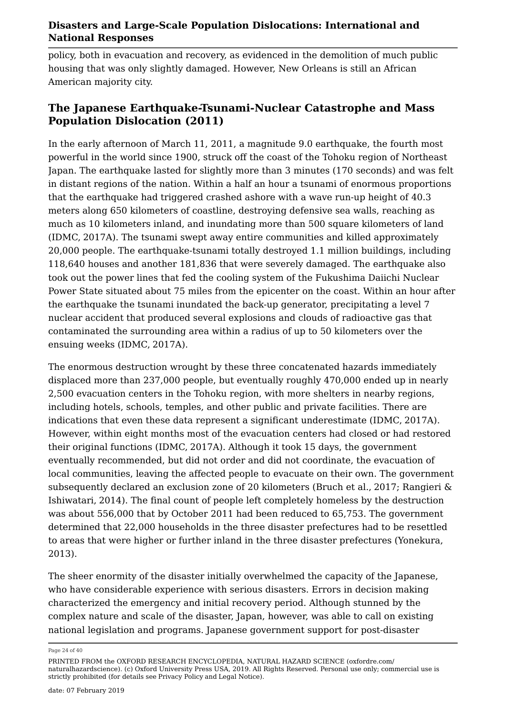policy, both in evacuation and recovery, as evidenced in the demolition of much public housing that was only slightly damaged. However, New Orleans is still an African American majority city.

#### **The Japanese Earthquake-Tsunami-Nuclear Catastrophe and Mass Population Dislocation (2011)**

In the early afternoon of March 11, 2011, a magnitude 9.0 earthquake, the fourth most powerful in the world since 1900, struck off the coast of the Tohoku region of Northeast Japan. The earthquake lasted for slightly more than 3 minutes (170 seconds) and was felt in distant regions of the nation. Within a half an hour a tsunami of enormous proportions that the earthquake had triggered crashed ashore with a wave run-up height of 40.3 meters along 650 kilometers of coastline, destroying defensive sea walls, reaching as much as 10 kilometers inland, and inundating more than 500 square kilometers of land (IDMC, 2017A). The tsunami swept away entire communities and killed approximately 20,000 people. The earthquake-tsunami totally destroyed 1.1 million buildings, including 118,640 houses and another 181,836 that were severely damaged. The earthquake also took out the power lines that fed the cooling system of the Fukushima Daiichi Nuclear Power State situated about 75 miles from the epicenter on the coast. Within an hour after the earthquake the tsunami inundated the back-up generator, precipitating a level 7 nuclear accident that produced several explosions and clouds of radioactive gas that contaminated the surrounding area within a radius of up to 50 kilometers over the ensuing weeks (IDMC, 2017A).

The enormous destruction wrought by these three concatenated hazards immediately displaced more than 237,000 people, but eventually roughly 470,000 ended up in nearly 2,500 evacuation centers in the Tohoku region, with more shelters in nearby regions, including hotels, schools, temples, and other public and private facilities. There are indications that even these data represent a significant underestimate (IDMC, 2017A). However, within eight months most of the evacuation centers had closed or had restored their original functions (IDMC, 2017A). Although it took 15 days, the government eventually recommended, but did not order and did not coordinate, the evacuation of local communities, leaving the affected people to evacuate on their own. The government subsequently declared an exclusion zone of 20 kilometers (Bruch et al., 2017; Rangieri & Ishiwatari, 2014). The final count of people left completely homeless by the destruction was about 556,000 that by October 2011 had been reduced to 65,753. The government determined that 22,000 households in the three disaster prefectures had to be resettled to areas that were higher or further inland in the three disaster prefectures (Yonekura, 2013).

The sheer enormity of the disaster initially overwhelmed the capacity of the Japanese, who have considerable experience with serious disasters. Errors in decision making characterized the emergency and initial recovery period. Although stunned by the complex nature and scale of the disaster, Japan, however, was able to call on existing national legislation and programs. Japanese government support for post-disaster

Page 24 of 40

PRINTED FROM the OXFORD RESEARCH ENCYCLOPEDIA, NATURAL HAZARD SCIENCE (oxfordre.com/ naturalhazardscience). (c) Oxford University Press USA, 2019. All Rights Reserved. Personal use only; commercial use is strictly prohibited (for details see Privacy Policy and Legal Notice).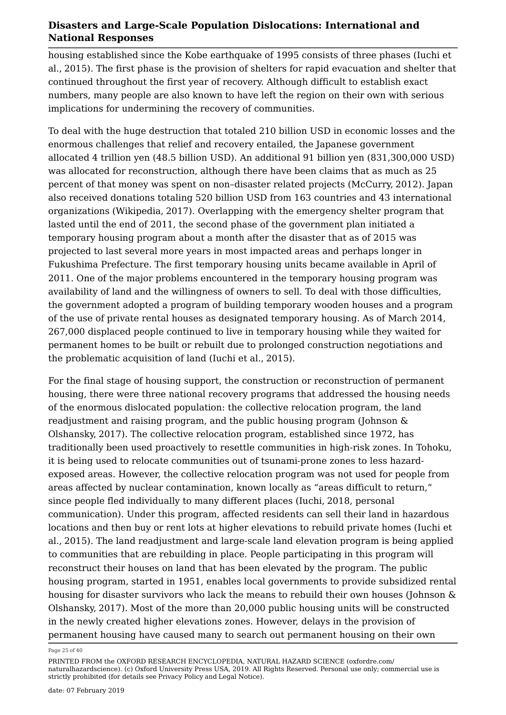housing established since the Kobe earthquake of 1995 consists of three phases (Iuchi et al., 2015). The first phase is the provision of shelters for rapid evacuation and shelter that continued throughout the first year of recovery. Although difficult to establish exact numbers, many people are also known to have left the region on their own with serious implications for undermining the recovery of communities.

To deal with the huge destruction that totaled 210 billion USD in economic losses and the enormous challenges that relief and recovery entailed, the Japanese government allocated 4 trillion yen (48.5 billion USD). An additional 91 billion yen (831,300,000 USD) was allocated for reconstruction, although there have been claims that as much as 25 percent of that money was spent on non–disaster related projects (McCurry, 2012). Japan also received donations totaling 520 billion USD from 163 countries and 43 international organizations (Wikipedia, 2017). Overlapping with the emergency shelter program that lasted until the end of 2011, the second phase of the government plan initiated a temporary housing program about a month after the disaster that as of 2015 was projected to last several more years in most impacted areas and perhaps longer in Fukushima Prefecture. The first temporary housing units became available in April of 2011. One of the major problems encountered in the temporary housing program was availability of land and the willingness of owners to sell. To deal with those difficulties, the government adopted a program of building temporary wooden houses and a program of the use of private rental houses as designated temporary housing. As of March 2014, 267,000 displaced people continued to live in temporary housing while they waited for permanent homes to be built or rebuilt due to prolonged construction negotiations and the problematic acquisition of land (Iuchi et al., 2015).

For the final stage of housing support, the construction or reconstruction of permanent housing, there were three national recovery programs that addressed the housing needs of the enormous dislocated population: the collective relocation program, the land readjustment and raising program, and the public housing program (Johnson & Olshansky, 2017). The collective relocation program, established since 1972, has traditionally been used proactively to resettle communities in high-risk zones. In Tohoku, it is being used to relocate communities out of tsunami-prone zones to less hazardexposed areas. However, the collective relocation program was not used for people from areas affected by nuclear contamination, known locally as "areas difficult to return," since people fled individually to many different places (Iuchi, 2018, personal communication). Under this program, affected residents can sell their land in hazardous locations and then buy or rent lots at higher elevations to rebuild private homes (Iuchi et al., 2015). The land readjustment and large-scale land elevation program is being applied to communities that are rebuilding in place. People participating in this program will reconstruct their houses on land that has been elevated by the program. The public housing program, started in 1951, enables local governments to provide subsidized rental housing for disaster survivors who lack the means to rebuild their own houses (Johnson & Olshansky, 2017). Most of the more than 20,000 public housing units will be constructed in the newly created higher elevations zones. However, delays in the provision of permanent housing have caused many to search out permanent housing on their own

Page 25 of 40

PRINTED FROM the OXFORD RESEARCH ENCYCLOPEDIA, NATURAL HAZARD SCIENCE (oxfordre.com/ naturalhazardscience). (c) Oxford University Press USA, 2019. All Rights Reserved. Personal use only; commercial use is strictly prohibited (for details see Privacy Policy and Legal Notice).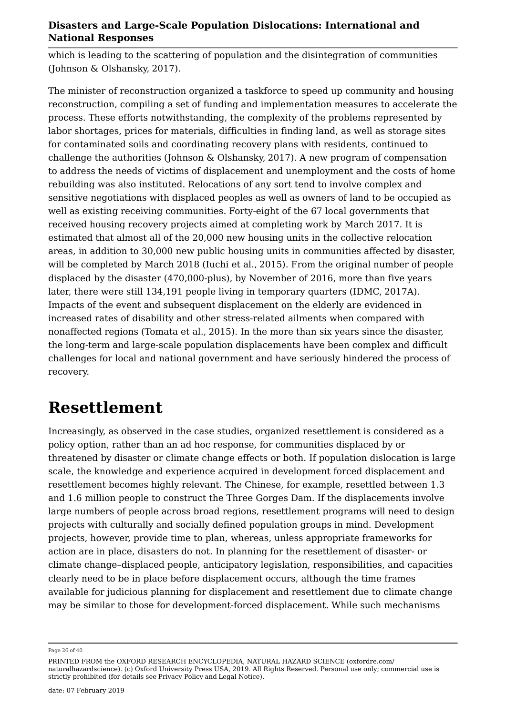which is leading to the scattering of population and the disintegration of communities (Johnson & Olshansky, 2017).

The minister of reconstruction organized a taskforce to speed up community and housing reconstruction, compiling a set of funding and implementation measures to accelerate the process. These efforts notwithstanding, the complexity of the problems represented by labor shortages, prices for materials, difficulties in finding land, as well as storage sites for contaminated soils and coordinating recovery plans with residents, continued to challenge the authorities (Johnson & Olshansky, 2017). A new program of compensation to address the needs of victims of displacement and unemployment and the costs of home rebuilding was also instituted. Relocations of any sort tend to involve complex and sensitive negotiations with displaced peoples as well as owners of land to be occupied as well as existing receiving communities. Forty-eight of the 67 local governments that received housing recovery projects aimed at completing work by March 2017. It is estimated that almost all of the 20,000 new housing units in the collective relocation areas, in addition to 30,000 new public housing units in communities affected by disaster, will be completed by March 2018 (Iuchi et al., 2015). From the original number of people displaced by the disaster (470,000-plus), by November of 2016, more than five years later, there were still 134,191 people living in temporary quarters (IDMC, 2017A). Impacts of the event and subsequent displacement on the elderly are evidenced in increased rates of disability and other stress-related ailments when compared with nonaffected regions (Tomata et al., 2015). In the more than six years since the disaster, the long-term and large-scale population displacements have been complex and difficult challenges for local and national government and have seriously hindered the process of recovery.

### **Resettlement**

Increasingly, as observed in the case studies, organized resettlement is considered as a policy option, rather than an ad hoc response, for communities displaced by or threatened by disaster or climate change effects or both. If population dislocation is large scale, the knowledge and experience acquired in development forced displacement and resettlement becomes highly relevant. The Chinese, for example, resettled between 1.3 and 1.6 million people to construct the Three Gorges Dam. If the displacements involve large numbers of people across broad regions, resettlement programs will need to design projects with culturally and socially defined population groups in mind. Development projects, however, provide time to plan, whereas, unless appropriate frameworks for action are in place, disasters do not. In planning for the resettlement of disaster- or climate change–displaced people, anticipatory legislation, responsibilities, and capacities clearly need to be in place before displacement occurs, although the time frames available for judicious planning for displacement and resettlement due to climate change may be similar to those for development-forced displacement. While such mechanisms

Page 26 of 40

PRINTED FROM the OXFORD RESEARCH ENCYCLOPEDIA, NATURAL HAZARD SCIENCE (oxfordre.com/ naturalhazardscience). (c) Oxford University Press USA, 2019. All Rights Reserved. Personal use only; commercial use is strictly prohibited (for details see Privacy Policy and Legal Notice).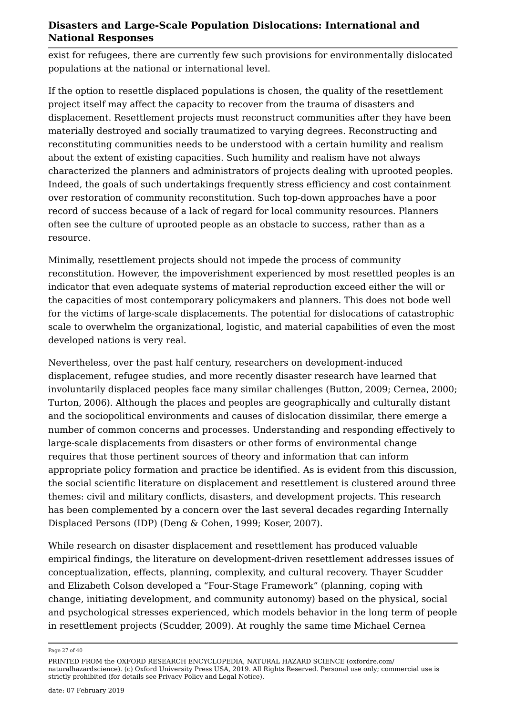exist for refugees, there are currently few such provisions for environmentally dislocated populations at the national or international level.

If the option to resettle displaced populations is chosen, the quality of the resettlement project itself may affect the capacity to recover from the trauma of disasters and displacement. Resettlement projects must reconstruct communities after they have been materially destroyed and socially traumatized to varying degrees. Reconstructing and reconstituting communities needs to be understood with a certain humility and realism about the extent of existing capacities. Such humility and realism have not always characterized the planners and administrators of projects dealing with uprooted peoples. Indeed, the goals of such undertakings frequently stress efficiency and cost containment over restoration of community reconstitution. Such top-down approaches have a poor record of success because of a lack of regard for local community resources. Planners often see the culture of uprooted people as an obstacle to success, rather than as a resource.

Minimally, resettlement projects should not impede the process of community reconstitution. However, the impoverishment experienced by most resettled peoples is an indicator that even adequate systems of material reproduction exceed either the will or the capacities of most contemporary policymakers and planners. This does not bode well for the victims of large-scale displacements. The potential for dislocations of catastrophic scale to overwhelm the organizational, logistic, and material capabilities of even the most developed nations is very real.

Nevertheless, over the past half century, researchers on development-induced displacement, refugee studies, and more recently disaster research have learned that involuntarily displaced peoples face many similar challenges (Button, 2009; Cernea, 2000; Turton, 2006). Although the places and peoples are geographically and culturally distant and the sociopolitical environments and causes of dislocation dissimilar, there emerge a number of common concerns and processes. Understanding and responding effectively to large-scale displacements from disasters or other forms of environmental change requires that those pertinent sources of theory and information that can inform appropriate policy formation and practice be identified. As is evident from this discussion, the social scientific literature on displacement and resettlement is clustered around three themes: civil and military conflicts, disasters, and development projects. This research has been complemented by a concern over the last several decades regarding Internally Displaced Persons (IDP) (Deng & Cohen, 1999; Koser, 2007).

While research on disaster displacement and resettlement has produced valuable empirical findings, the literature on development-driven resettlement addresses issues of conceptualization, effects, planning, complexity, and cultural recovery. Thayer Scudder and Elizabeth Colson developed a "Four-Stage Framework" (planning, coping with change, initiating development, and community autonomy) based on the physical, social and psychological stresses experienced, which models behavior in the long term of people in resettlement projects (Scudder, 2009). At roughly the same time Michael Cernea

Page 27 of 40

PRINTED FROM the OXFORD RESEARCH ENCYCLOPEDIA, NATURAL HAZARD SCIENCE (oxfordre.com/ naturalhazardscience). (c) Oxford University Press USA, 2019. All Rights Reserved. Personal use only; commercial use is strictly prohibited (for details see Privacy Policy and Legal Notice).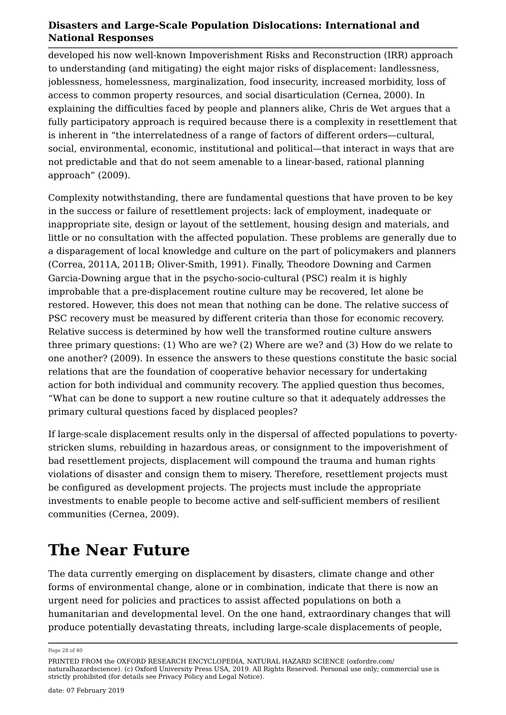developed his now well-known Impoverishment Risks and Reconstruction (IRR) approach to understanding (and mitigating) the eight major risks of displacement: landlessness, joblessness, homelessness, marginalization, food insecurity, increased morbidity, loss of access to common property resources, and social disarticulation (Cernea, 2000). In explaining the difficulties faced by people and planners alike, Chris de Wet argues that a fully participatory approach is required because there is a complexity in resettlement that is inherent in "the interrelatedness of a range of factors of different orders—cultural, social, environmental, economic, institutional and political—that interact in ways that are not predictable and that do not seem amenable to a linear-based, rational planning approach" (2009).

Complexity notwithstanding, there are fundamental questions that have proven to be key in the success or failure of resettlement projects: lack of employment, inadequate or inappropriate site, design or layout of the settlement, housing design and materials, and little or no consultation with the affected population. These problems are generally due to a disparagement of local knowledge and culture on the part of policymakers and planners (Correa, 2011A, 2011B; Oliver-Smith, 1991). Finally, Theodore Downing and Carmen Garcia-Downing argue that in the psycho-socio-cultural (PSC) realm it is highly improbable that a pre-displacement routine culture may be recovered, let alone be restored. However, this does not mean that nothing can be done. The relative success of PSC recovery must be measured by different criteria than those for economic recovery. Relative success is determined by how well the transformed routine culture answers three primary questions: (1) Who are we? (2) Where are we? and (3) How do we relate to one another? (2009). In essence the answers to these questions constitute the basic social relations that are the foundation of cooperative behavior necessary for undertaking action for both individual and community recovery. The applied question thus becomes, "What can be done to support a new routine culture so that it adequately addresses the primary cultural questions faced by displaced peoples?

If large-scale displacement results only in the dispersal of affected populations to povertystricken slums, rebuilding in hazardous areas, or consignment to the impoverishment of bad resettlement projects, displacement will compound the trauma and human rights violations of disaster and consign them to misery. Therefore, resettlement projects must be configured as development projects. The projects must include the appropriate investments to enable people to become active and self-sufficient members of resilient communities (Cernea, 2009).

### **The Near Future**

The data currently emerging on displacement by disasters, climate change and other forms of environmental change, alone or in combination, indicate that there is now an urgent need for policies and practices to assist affected populations on both a humanitarian and developmental level. On the one hand, extraordinary changes that will produce potentially devastating threats, including large-scale displacements of people,

Page 28 of 40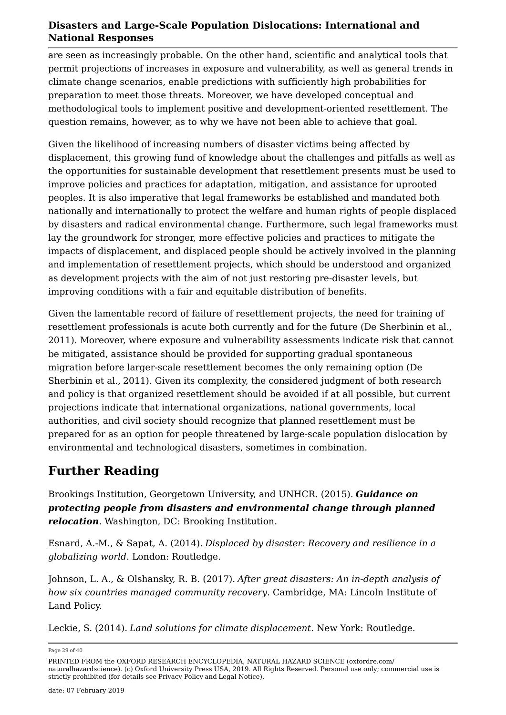are seen as increasingly probable. On the other hand, scientific and analytical tools that permit projections of increases in exposure and vulnerability, as well as general trends in climate change scenarios, enable predictions with sufficiently high probabilities for preparation to meet those threats. Moreover, we have developed conceptual and methodological tools to implement positive and development-oriented resettlement. The question remains, however, as to why we have not been able to achieve that goal.

Given the likelihood of increasing numbers of disaster victims being affected by displacement, this growing fund of knowledge about the challenges and pitfalls as well as the opportunities for sustainable development that resettlement presents must be used to improve policies and practices for adaptation, mitigation, and assistance for uprooted peoples. It is also imperative that legal frameworks be established and mandated both nationally and internationally to protect the welfare and human rights of people displaced by disasters and radical environmental change. Furthermore, such legal frameworks must lay the groundwork for stronger, more effective policies and practices to mitigate the impacts of displacement, and displaced people should be actively involved in the planning and implementation of resettlement projects, which should be understood and organized as development projects with the aim of not just restoring pre-disaster levels, but improving conditions with a fair and equitable distribution of benefits.

Given the lamentable record of failure of resettlement projects, the need for training of resettlement professionals is acute both currently and for the future (De Sherbinin et al., 2011). Moreover, where exposure and vulnerability assessments indicate risk that cannot be mitigated, assistance should be provided for supporting gradual spontaneous migration before larger-scale resettlement becomes the only remaining option (De Sherbinin et al., 2011). Given its complexity, the considered judgment of both research and policy is that organized resettlement should be avoided if at all possible, but current projections indicate that international organizations, national governments, local authorities, and civil society should recognize that planned resettlement must be prepared for as an option for people threatened by large-scale population dislocation by environmental and technological disasters, sometimes in combination.

### **Further Reading**

Brookings Institution, Georgetown University, and UNHCR. (2015). *Guidance on protecting people from disasters and environmental change through planned relocation*. Washington, DC: Brooking Institution.

Esnard, A.-M., & Sapat, A. (2014). *Displaced by disaster: Recovery and resilience in a globalizing world*. London: Routledge.

Johnson, L. A., & Olshansky, R. B. (2017). *After great disasters: An in-depth analysis of how six countries managed community recovery*. Cambridge, MA: Lincoln Institute of Land Policy.

Leckie, S. (2014). *Land solutions for climate displacement*. New York: Routledge.

Page 29 of 40

PRINTED FROM the OXFORD RESEARCH ENCYCLOPEDIA, NATURAL HAZARD SCIENCE (oxfordre.com/ naturalhazardscience). (c) Oxford University Press USA, 2019. All Rights Reserved. Personal use only; commercial use is strictly prohibited (for details see Privacy Policy and Legal Notice).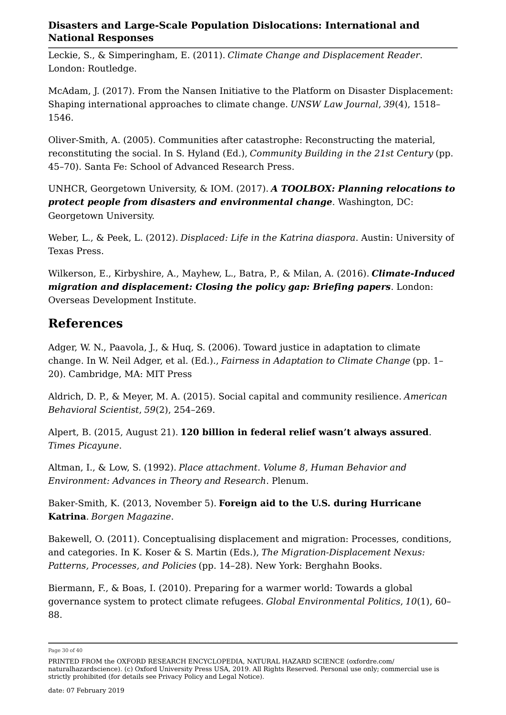Leckie, S., & Simperingham, E. (2011). *Climate Change and Displacement Reader*. London: Routledge.

McAdam, J. (2017). From the Nansen Initiative to the Platform on Disaster Displacement: Shaping international approaches to climate change. *UNSW Law Journal*, *39*(4), 1518– 1546.

Oliver-Smith, A. (2005). Communities after catastrophe: Reconstructing the material, reconstituting the social. In S. Hyland (Ed.), *Community Building in the 21st Century* (pp. 45–70). Santa Fe: School of Advanced Research Press.

UNHCR, Georgetown University, & IOM. (2017). *A TOOLBOX: Planning relocations to protect people from disasters and environmental change*. Washington, DC: Georgetown University.

Weber, L., & Peek, L. (2012). *Displaced: Life in the Katrina diaspora*. Austin: University of Texas Press.

Wilkerson, E., Kirbyshire, A., Mayhew, L., Batra, P., & Milan, A. (2016). *Climate-Induced migration and displacement: Closing the policy gap: Briefing papers*. London: Overseas Development Institute.

### **References**

Adger, W. N., Paavola, J., & Huq, S. (2006). Toward justice in adaptation to climate change. In W. Neil Adger, et al. (Ed.)., *Fairness in Adaptation to Climate Change* (pp. 1– 20). Cambridge, MA: MIT Press

Aldrich, D. P., & Meyer, M. A. (2015). Social capital and community resilience. *American Behavioral Scientist*, *59*(2), 254–269.

Alpert, B. (2015, August 21). **120 billion in federal relief wasn't always assured**. *Times Picayune*.

Altman, I., & Low, S. (1992). *Place attachment. Volume 8, Human Behavior and Environment: Advances in Theory and Research*. Plenum.

Baker-Smith, K. (2013, November 5). **Foreign aid to the U.S. during Hurricane Katrina**. *Borgen Magazine*.

Bakewell, O. (2011). Conceptualising displacement and migration: Processes, conditions, and categories. In K. Koser & S. Martin (Eds.), *The Migration-Displacement Nexus: Patterns, Processes, and Policies* (pp. 14–28). New York: Berghahn Books.

Biermann, F., & Boas, I. (2010). Preparing for a warmer world: Towards a global governance system to protect climate refugees. *Global Environmental Politics*, *10*(1), 60– 88.

Page 30 of 40

PRINTED FROM the OXFORD RESEARCH ENCYCLOPEDIA, NATURAL HAZARD SCIENCE (oxfordre.com/ naturalhazardscience). (c) Oxford University Press USA, 2019. All Rights Reserved. Personal use only; commercial use is strictly prohibited (for details see Privacy Policy and Legal Notice).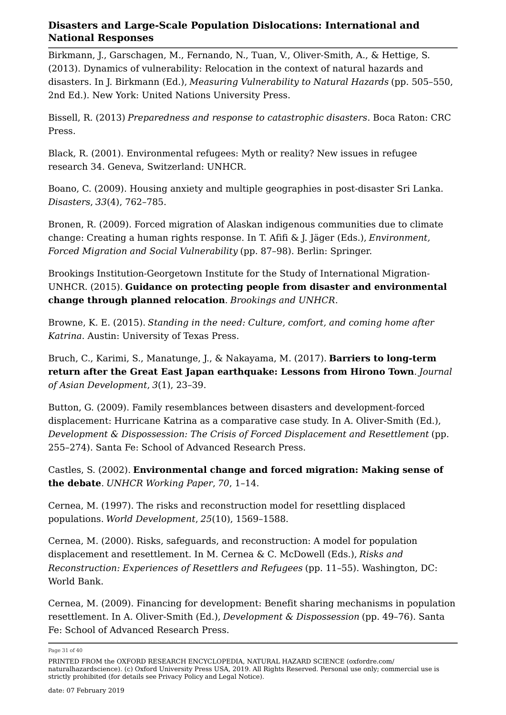Birkmann, J., Garschagen, M., Fernando, N., Tuan, V., Oliver-Smith, A., & Hettige, S. (2013). Dynamics of vulnerability: Relocation in the context of natural hazards and disasters. In J. Birkmann (Ed.), *Measuring Vulnerability to Natural Hazards* (pp. 505–550, 2nd Ed.). New York: United Nations University Press.

Bissell, R. (2013) *Preparedness and response to catastrophic disasters*. Boca Raton: CRC Press.

Black, R. (2001). Environmental refugees: Myth or reality? New issues in refugee research 34. Geneva, Switzerland: UNHCR.

Boano, C. (2009). Housing anxiety and multiple geographies in post-disaster Sri Lanka. *Disasters*, *33*(4), 762–785.

Bronen, R. (2009). Forced migration of Alaskan indigenous communities due to climate change: Creating a human rights response. In T. Afifi & J. Jäger (Eds.), *Environment, Forced Migration and Social Vulnerability* (pp. 87–98). Berlin: Springer.

Brookings Institution-Georgetown Institute for the Study of International Migration-UNHCR. (2015). **Guidance on protecting people from disaster and environmental change through planned relocation**. *Brookings and UNHCR*.

Browne, K. E. (2015). *Standing in the need: Culture, comfort, and coming home after Katrina*. Austin: University of Texas Press.

Bruch, C., Karimi, S., Manatunge, J., & Nakayama, M. (2017). **Barriers to long-term return after the Great East Japan earthquake: Lessons from Hirono Town**. *Journal of Asian Development*, *3*(1), 23–39.

Button, G. (2009). Family resemblances between disasters and development-forced displacement: Hurricane Katrina as a comparative case study. In A. Oliver-Smith (Ed.), *Development & Dispossession: The Crisis of Forced Displacement and Resettlement* (pp. 255–274). Santa Fe: School of Advanced Research Press.

Castles, S. (2002). **Environmental change and forced migration: Making sense of the debate**. *UNHCR Working Paper*, *70*, 1–14.

Cernea, M. (1997). The risks and reconstruction model for resettling displaced populations. *World Development*, *25*(10), 1569–1588.

Cernea, M. (2000). Risks, safeguards, and reconstruction: A model for population displacement and resettlement. In M. Cernea & C. McDowell (Eds.), *Risks and Reconstruction: Experiences of Resettlers and Refugees* (pp. 11–55). Washington, DC: World Bank.

Cernea, M. (2009). Financing for development: Benefit sharing mechanisms in population resettlement. In A. Oliver-Smith (Ed.), *Development & Dispossession* (pp. 49–76). Santa Fe: School of Advanced Research Press.

Page 31 of 40

PRINTED FROM the OXFORD RESEARCH ENCYCLOPEDIA, NATURAL HAZARD SCIENCE (oxfordre.com/ naturalhazardscience). (c) Oxford University Press USA, 2019. All Rights Reserved. Personal use only; commercial use is strictly prohibited (for details see Privacy Policy and Legal Notice).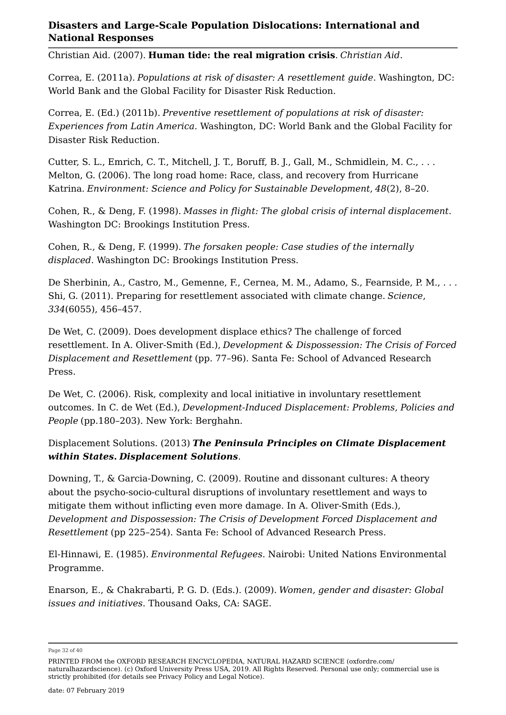Christian Aid. (2007). **Human tide: the real migration crisis**. *Christian Aid*.

Correa, E. (2011a). *Populations at risk of disaster: A resettlement guide*. Washington, DC: World Bank and the Global Facility for Disaster Risk Reduction.

Correa, E. (Ed.) (2011b). *Preventive resettlement of populations at risk of disaster: Experiences from Latin America*. Washington, DC: World Bank and the Global Facility for Disaster Risk Reduction.

Cutter, S. L., Emrich, C. T., Mitchell, J. T., Boruff, B. J., Gall, M., Schmidlein, M. C., . . . Melton, G. (2006). The long road home: Race, class, and recovery from Hurricane Katrina. *Environment: Science and Policy for Sustainable Development*, *48*(2), 8–20.

Cohen, R., & Deng, F. (1998). *Masses in flight: The global crisis of internal displacement*. Washington DC: Brookings Institution Press.

Cohen, R., & Deng, F. (1999). *The forsaken people: Case studies of the internally displaced*. Washington DC: Brookings Institution Press.

De Sherbinin, A., Castro, M., Gemenne, F., Cernea, M. M., Adamo, S., Fearnside, P. M., . . . Shi, G. (2011). Preparing for resettlement associated with climate change. *Science*, *334*(6055), 456–457.

De Wet, C. (2009). Does development displace ethics? The challenge of forced resettlement. In A. Oliver-Smith (Ed.), *Development & Dispossession: The Crisis of Forced Displacement and Resettlement* (pp. 77–96). Santa Fe: School of Advanced Research Press.

De Wet, C. (2006). Risk, complexity and local initiative in involuntary resettlement outcomes. In C. de Wet (Ed.), *Development-Induced Displacement: Problems, Policies and People* (pp.180–203). New York: Berghahn.

#### Displacement Solutions. (2013) *The Peninsula Principles on Climate Displacement within States***.** *Displacement Solutions*.

Downing, T., & Garcia-Downing, C. (2009). Routine and dissonant cultures: A theory about the psycho-socio-cultural disruptions of involuntary resettlement and ways to mitigate them without inflicting even more damage. In A. Oliver-Smith (Eds.), *Development and Dispossession: The Crisis of Development Forced Displacement and Resettlement* (pp 225–254). Santa Fe: School of Advanced Research Press.

El-Hinnawi, E. (1985). *Environmental Refugees*. Nairobi: United Nations Environmental Programme.

Enarson, E., & Chakrabarti, P. G. D. (Eds.). (2009). *Women, gender and disaster: Global issues and initiatives*. Thousand Oaks, CA: SAGE.

Page 32 of 40

PRINTED FROM the OXFORD RESEARCH ENCYCLOPEDIA, NATURAL HAZARD SCIENCE (oxfordre.com/ naturalhazardscience). (c) Oxford University Press USA, 2019. All Rights Reserved. Personal use only; commercial use is strictly prohibited (for details see Privacy Policy and Legal Notice).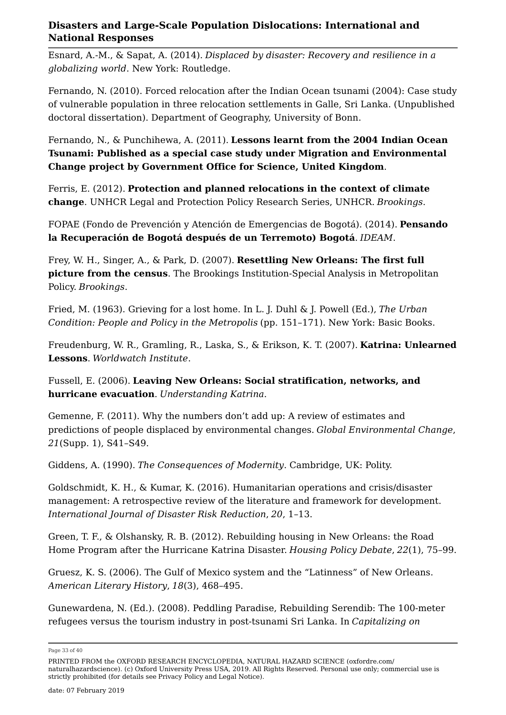Esnard, A.-M., & Sapat, A. (2014). *Displaced by disaster: Recovery and resilience in a globalizing world*. New York: Routledge.

Fernando, N. (2010). Forced relocation after the Indian Ocean tsunami (2004): Case study of vulnerable population in three relocation settlements in Galle, Sri Lanka. (Unpublished doctoral dissertation). Department of Geography, University of Bonn.

Fernando, N., & Punchihewa, A. (2011). **Lessons learnt from the 2004 Indian Ocean Tsunami: Published as a special case study under Migration and Environmental Change project by Government Office for Science, United Kingdom**.

Ferris, E. (2012). **Protection and planned relocations in the context of climate change**. UNHCR Legal and Protection Policy Research Series, UNHCR. *Brookings*.

FOPAE (Fondo de Prevención y Atención de Emergencias de Bogotá). (2014). **Pensando la Recuperación de Bogotá después de un Terremoto) Bogotá**. *IDEAM*.

Frey, W. H., Singer, A., & Park, D. (2007). **Resettling New Orleans: The first full picture from the census**. The Brookings Institution-Special Analysis in Metropolitan Policy. *Brookings*.

Fried, M. (1963). Grieving for a lost home. In L. J. Duhl & J. Powell (Ed.), *The Urban Condition: People and Policy in the Metropolis* (pp. 151–171). New York: Basic Books.

Freudenburg, W. R., Gramling, R., Laska, S., & Erikson, K. T. (2007). **Katrina: Unlearned Lessons**. *Worldwatch Institute*.

Fussell, E. (2006). **Leaving New Orleans: Social stratification, networks, and hurricane evacuation**. *Understanding Katrina*.

Gemenne, F. (2011). Why the numbers don't add up: A review of estimates and predictions of people displaced by environmental changes. *Global Environmental Change*, *21*(Supp. 1), S41–S49.

Giddens, A. (1990). *The Consequences of Modernity*. Cambridge, UK: Polity.

Goldschmidt, K. H., & Kumar, K. (2016). Humanitarian operations and crisis/disaster management: A retrospective review of the literature and framework for development. *International Journal of Disaster Risk Reduction*, *20*, 1–13.

Green, T. F., & Olshansky, R. B. (2012). Rebuilding housing in New Orleans: the Road Home Program after the Hurricane Katrina Disaster. *Housing Policy Debate*, *22*(1), 75–99.

Gruesz, K. S. (2006). The Gulf of Mexico system and the "Latinness" of New Orleans. *American Literary History*, *18*(3), 468–495.

Gunewardena, N. (Ed.). (2008). Peddling Paradise, Rebuilding Serendib: The 100-meter refugees versus the tourism industry in post-tsunami Sri Lanka. In *Capitalizing on* 

Page 33 of 40

PRINTED FROM the OXFORD RESEARCH ENCYCLOPEDIA, NATURAL HAZARD SCIENCE (oxfordre.com/ naturalhazardscience). (c) Oxford University Press USA, 2019. All Rights Reserved. Personal use only; commercial use is strictly prohibited (for details see Privacy Policy and Legal Notice).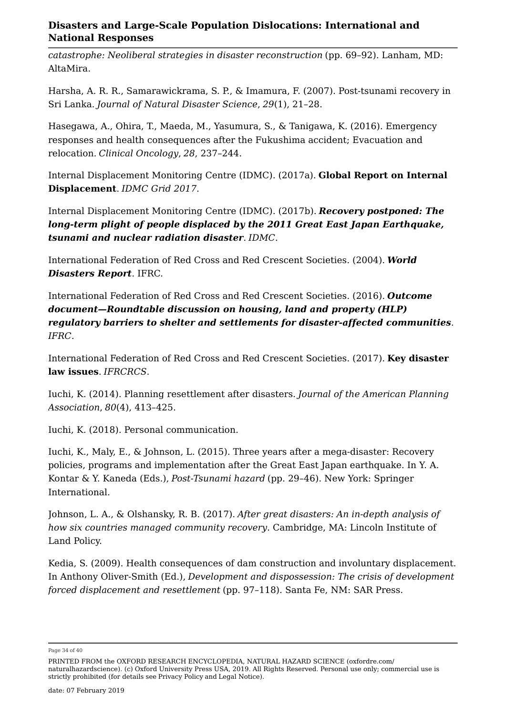*catastrophe: Neoliberal strategies in disaster reconstruction* (pp. 69–92). Lanham, MD: AltaMira.

Harsha, A. R. R., Samarawickrama, S. P., & Imamura, F. (2007). Post-tsunami recovery in Sri Lanka. *Journal of Natural Disaster Science*, *29*(1), 21–28.

Hasegawa, A., Ohira, T., Maeda, M., Yasumura, S., & Tanigawa, K. (2016). Emergency responses and health consequences after the Fukushima accident; Evacuation and relocation. *Clinical Oncology*, *28*, 237–244.

Internal Displacement Monitoring Centre (IDMC). (2017a). **Global Report on Internal Displacement**. *IDMC Grid 2017*.

Internal Displacement Monitoring Centre (IDMC). (2017b). *Recovery postponed: The long-term plight of people displaced by the 2011 Great East Japan Earthquake, tsunami and nuclear radiation disaster*. *IDMC*.

International Federation of Red Cross and Red Crescent Societies. (2004). *World Disasters Report*. IFRC.

International Federation of Red Cross and Red Crescent Societies. (2016). *Outcome document—Roundtable discussion on housing, land and property (HLP) regulatory barriers to shelter and settlements for disaster-affected communities*. *IFRC*.

International Federation of Red Cross and Red Crescent Societies. (2017). **Key disaster law issues**. *IFRCRCS*.

Iuchi, K. (2014). Planning resettlement after disasters. *Journal of the American Planning Association*, *80*(4), 413–425.

Iuchi, K. (2018). Personal communication.

Iuchi, K., Maly, E., & Johnson, L. (2015). Three years after a mega-disaster: Recovery policies, programs and implementation after the Great East Japan earthquake. In Y. A. Kontar & Y. Kaneda (Eds.), *Post-Tsunami hazard* (pp. 29–46). New York: Springer International.

Johnson, L. A., & Olshansky, R. B. (2017). *After great disasters: An in-depth analysis of how six countries managed community recovery*. Cambridge, MA: Lincoln Institute of Land Policy.

Kedia, S. (2009). Health consequences of dam construction and involuntary displacement. In Anthony Oliver-Smith (Ed.), *Development and dispossession: The crisis of development forced displacement and resettlement* (pp. 97–118). Santa Fe, NM: SAR Press.

Page 34 of 40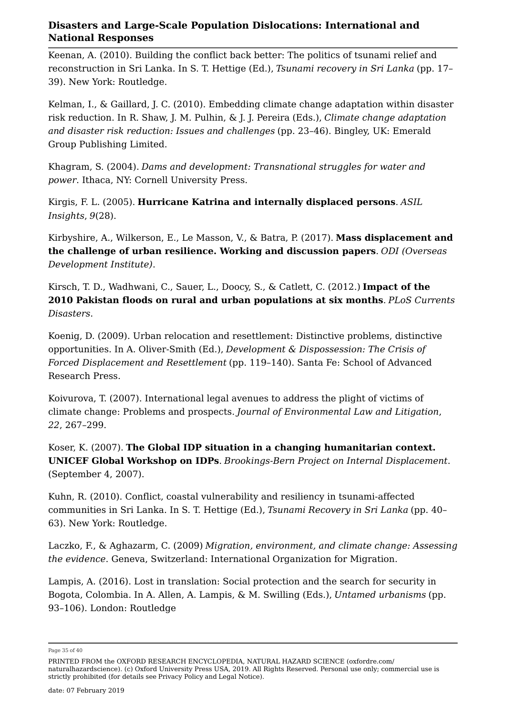Keenan, A. (2010). Building the conflict back better: The politics of tsunami relief and reconstruction in Sri Lanka. In S. T. Hettige (Ed.), *Tsunami recovery in Sri Lanka* (pp. 17– 39). New York: Routledge.

Kelman, I., & Gaillard, J. C. (2010). Embedding climate change adaptation within disaster risk reduction. In R. Shaw, J. M. Pulhin, & J. J. Pereira (Eds.), *Climate change adaptation and disaster risk reduction: Issues and challenges* (pp. 23–46). Bingley, UK: Emerald Group Publishing Limited.

Khagram, S. (2004). *Dams and development: Transnational struggles for water and power*. Ithaca, NY: Cornell University Press.

Kirgis, F. L. (2005). **Hurricane Katrina and internally displaced persons**. *ASIL Insights*, *9*(28).

Kirbyshire, A., Wilkerson, E., Le Masson, V., & Batra, P. (2017). **Mass displacement and the challenge of urban resilience. Working and discussion papers**. *ODI (Overseas Development Institute)*.

Kirsch, T. D., Wadhwani, C., Sauer, L., Doocy, S., & Catlett, C. (2012.) **Impact of the 2010 Pakistan floods on rural and urban populations at six months**. *PLoS Currents Disasters*.

Koenig, D. (2009). Urban relocation and resettlement: Distinctive problems, distinctive opportunities. In A. Oliver-Smith (Ed.), *Development & Dispossession: The Crisis of Forced Displacement and Resettlement* (pp. 119–140). Santa Fe: School of Advanced Research Press.

Koivurova, T. (2007). International legal avenues to address the plight of victims of climate change: Problems and prospects. *Journal of Environmental Law and Litigation*, *22*, 267–299.

Koser, K. (2007). **The Global IDP situation in a changing humanitarian context. UNICEF Global Workshop on IDPs**. *Brookings-Bern Project on Internal Displacement*. (September 4, 2007).

Kuhn, R. (2010). Conflict, coastal vulnerability and resiliency in tsunami-affected communities in Sri Lanka. In S. T. Hettige (Ed.), *Tsunami Recovery in Sri Lanka* (pp. 40– 63). New York: Routledge.

Laczko, F., & Aghazarm, C. (2009) *Migration, environment, and climate change: Assessing the evidence*. Geneva, Switzerland: International Organization for Migration.

Lampis, A. (2016). Lost in translation: Social protection and the search for security in Bogota, Colombia. In A. Allen, A. Lampis, & M. Swilling (Eds.), *Untamed urbanisms* (pp. 93–106). London: Routledge

Page 35 of 40

PRINTED FROM the OXFORD RESEARCH ENCYCLOPEDIA, NATURAL HAZARD SCIENCE (oxfordre.com/ naturalhazardscience). (c) Oxford University Press USA, 2019. All Rights Reserved. Personal use only; commercial use is strictly prohibited (for details see Privacy Policy and Legal Notice).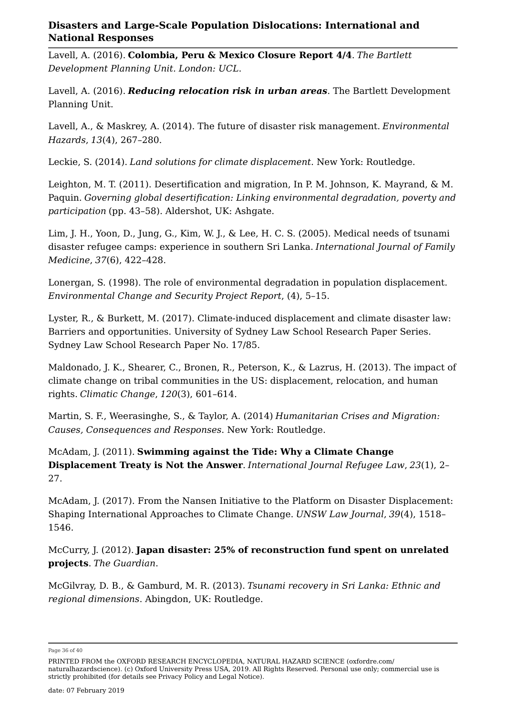Lavell, A. (2016). **Colombia, Peru & Mexico Closure Report 4/4**. *The Bartlett Development Planning Unit. London: UCL*.

Lavell, A. (2016). *Reducing relocation risk in urban areas*. The Bartlett Development Planning Unit.

Lavell, A., & Maskrey, A. (2014). The future of disaster risk management. *Environmental Hazards*, *13*(4), 267–280.

Leckie, S. (2014). *Land solutions for climate displacement*. New York: Routledge.

Leighton, M. T. (2011). Desertification and migration, In P. M. Johnson, K. Mayrand, & M. Paquin. *Governing global desertification: Linking environmental degradation, poverty and participation* (pp. 43–58). Aldershot, UK: Ashgate.

Lim, J. H., Yoon, D., Jung, G., Kim, W. J., & Lee, H. C. S. (2005). Medical needs of tsunami disaster refugee camps: experience in southern Sri Lanka. *International Journal of Family Medicine*, *37*(6), 422–428.

Lonergan, S. (1998). The role of environmental degradation in population displacement. *Environmental Change and Security Project Report*, (4), 5–15.

Lyster, R., & Burkett, M. (2017). Climate-induced displacement and climate disaster law: Barriers and opportunities. University of Sydney Law School Research Paper Series. Sydney Law School Research Paper No. 17/85.

Maldonado, J. K., Shearer, C., Bronen, R., Peterson, K., & Lazrus, H. (2013). The impact of climate change on tribal communities in the US: displacement, relocation, and human rights. *Climatic Change*, *120*(3), 601–614.

Martin, S. F., Weerasinghe, S., & Taylor, A. (2014) *Humanitarian Crises and Migration: Causes, Consequences and Responses*. New York: Routledge.

McAdam, J. (2011). **Swimming against the Tide: Why a Climate Change Displacement Treaty is Not the Answer**. *International Journal Refugee Law*, *23*(1), 2– 27.

McAdam, J. (2017). From the Nansen Initiative to the Platform on Disaster Displacement: Shaping International Approaches to Climate Change. *UNSW Law Journal*, *39*(4), 1518– 1546.

McCurry, J. (2012). **Japan disaster: 25% of reconstruction fund spent on unrelated projects**. *The Guardian*.

McGilvray, D. B., & Gamburd, M. R. (2013). *Tsunami recovery in Sri Lanka: Ethnic and regional dimensions*. Abingdon, UK: Routledge.

Page 36 of 40

PRINTED FROM the OXFORD RESEARCH ENCYCLOPEDIA, NATURAL HAZARD SCIENCE (oxfordre.com/ naturalhazardscience). (c) Oxford University Press USA, 2019. All Rights Reserved. Personal use only; commercial use is strictly prohibited (for details see Privacy Policy and Legal Notice).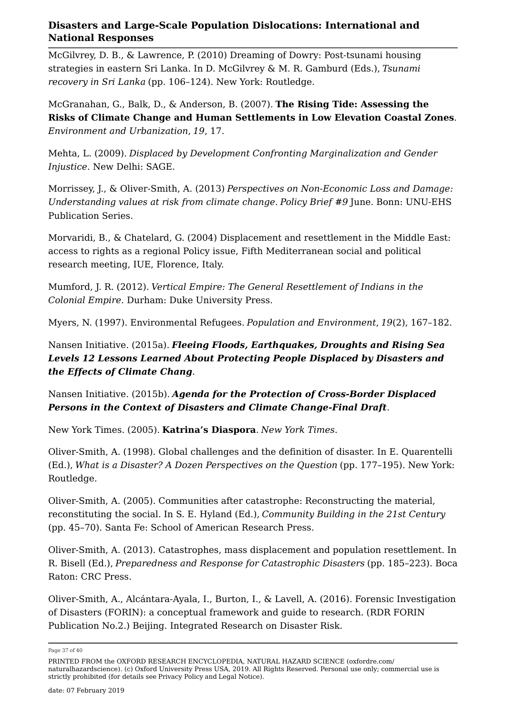McGilvrey, D. B., & Lawrence, P. (2010) Dreaming of Dowry: Post-tsunami housing strategies in eastern Sri Lanka. In D. McGilvrey & M. R. Gamburd (Eds.), *Tsunami recovery in Sri Lanka* (pp. 106–124). New York: Routledge.

McGranahan, G., Balk, D., & Anderson, B. (2007). **The Rising Tide: Assessing the Risks of Climate Change and Human Settlements in Low Elevation Coastal Zones**. *Environment and Urbanization*, *19*, 17.

Mehta, L. (2009). *Displaced by Development Confronting Marginalization and Gender Injustice*. New Delhi: SAGE.

Morrissey, J., & Oliver-Smith, A. (2013) *Perspectives on Non-Economic Loss and Damage: Understanding values at risk from climate change*. *Policy Brief #9* June. Bonn: UNU-EHS Publication Series.

Morvaridi, B., & Chatelard, G. (2004) Displacement and resettlement in the Middle East: access to rights as a regional Policy issue, Fifth Mediterranean social and political research meeting, IUE, Florence, Italy.

Mumford, J. R. (2012). *Vertical Empire: The General Resettlement of Indians in the Colonial Empire*. Durham: Duke University Press.

Myers, N. (1997). Environmental Refugees. *Population and Environment*, *19*(2), 167–182.

Nansen Initiative. (2015a). *Fleeing Floods, Earthquakes, Droughts and Rising Sea Levels 12 Lessons Learned About Protecting People Displaced by Disasters and the Effects of Climate Chang*.

Nansen Initiative. (2015b). *Agenda for the Protection of Cross-Border Displaced Persons in the Context of Disasters and Climate Change-Final Draft*.

New York Times. (2005). **Katrina's Diaspora**. *New York Times*.

Oliver-Smith, A. (1998). Global challenges and the definition of disaster. In E. Quarentelli (Ed.), *What is a Disaster? A Dozen Perspectives on the Question* (pp. 177–195). New York: Routledge.

Oliver-Smith, A. (2005). Communities after catastrophe: Reconstructing the material, reconstituting the social. In S. E. Hyland (Ed.), *Community Building in the 21st Century* (pp. 45–70). Santa Fe: School of American Research Press.

Oliver-Smith, A. (2013). Catastrophes, mass displacement and population resettlement. In R. Bisell (Ed.), *Preparedness and Response for Catastrophic Disasters* (pp. 185–223). Boca Raton: CRC Press.

Oliver-Smith, A., Alcántara-Ayala, I., Burton, I., & Lavell, A. (2016). Forensic Investigation of Disasters (FORIN): a conceptual framework and guide to research. (RDR FORIN Publication No.2.) Beijing. Integrated Research on Disaster Risk.

Page 37 of 40

PRINTED FROM the OXFORD RESEARCH ENCYCLOPEDIA, NATURAL HAZARD SCIENCE (oxfordre.com/ naturalhazardscience). (c) Oxford University Press USA, 2019. All Rights Reserved. Personal use only; commercial use is strictly prohibited (for details see Privacy Policy and Legal Notice).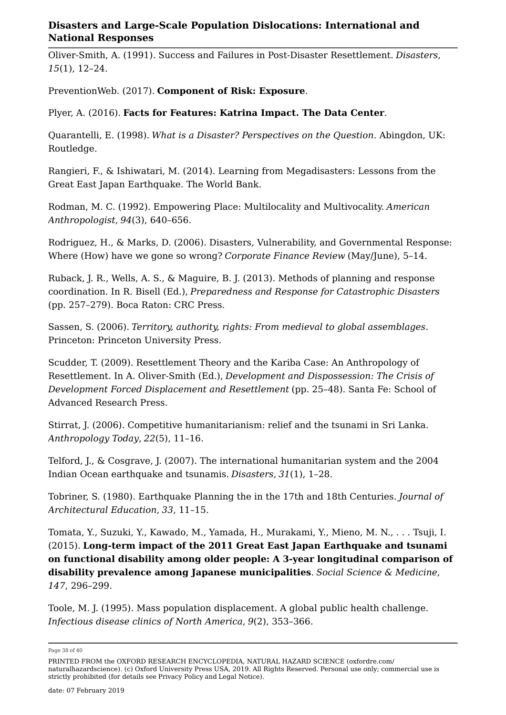Oliver-Smith, A. (1991). Success and Failures in Post-Disaster Resettlement. *Disasters*, *15*(1), 12–24.

PreventionWeb. (2017). **Component of Risk: Exposure**.

Plyer, A. (2016). **Facts for Features: Katrina Impact. The Data Center**.

Quarantelli, E. (1998). *What is a Disaster? Perspectives on the Question*. Abingdon, UK: Routledge.

Rangieri, F., & Ishiwatari, M. (2014). Learning from Megadisasters: Lessons from the Great East Japan Earthquake. The World Bank.

Rodman, M. C. (1992). Empowering Place: Multilocality and Multivocality. *American Anthropologist*, *94*(3), 640–656.

Rodriguez, H., & Marks, D. (2006). Disasters, Vulnerability, and Governmental Response: Where (How) have we gone so wrong? *Corporate Finance Review* (May/June), 5–14.

Ruback, J. R., Wells, A. S., & Maguire, B. J. (2013). Methods of planning and response coordination. In R. Bisell (Ed.), *Preparedness and Response for Catastrophic Disasters* (pp. 257–279). Boca Raton: CRC Press.

Sassen, S. (2006). *Territory, authority, rights: From medieval to global assemblages*. Princeton: Princeton University Press.

Scudder, T. (2009). Resettlement Theory and the Kariba Case: An Anthropology of Resettlement. In A. Oliver-Smith (Ed.), *Development and Dispossession: The Crisis of Development Forced Displacement and Resettlement* (pp. 25–48). Santa Fe: School of Advanced Research Press.

Stirrat, J. (2006). Competitive humanitarianism: relief and the tsunami in Sri Lanka. *Anthropology Today*, *22*(5), 11–16.

Telford, J., & Cosgrave, J. (2007). The international humanitarian system and the 2004 Indian Ocean earthquake and tsunamis. *Disasters*, *31*(1), 1–28.

Tobriner, S. (1980). Earthquake Planning the in the 17th and 18th Centuries. *Journal of Architectural Education*, *33*, 11–15.

Tomata, Y., Suzuki, Y., Kawado, M., Yamada, H., Murakami, Y., Mieno, M. N., . . . Tsuji, I. (2015). **Long-term impact of the 2011 Great East Japan Earthquake and tsunami on functional disability among older people: A 3-year longitudinal comparison of disability prevalence among Japanese municipalities**. *Social Science & Medicine*, *147*, 296–299.

Toole, M. J. (1995). Mass population displacement. A global public health challenge. *Infectious disease clinics of North America*, *9*(2), 353–366.

Page 38 of 40

PRINTED FROM the OXFORD RESEARCH ENCYCLOPEDIA, NATURAL HAZARD SCIENCE (oxfordre.com/ naturalhazardscience). (c) Oxford University Press USA, 2019. All Rights Reserved. Personal use only; commercial use is strictly prohibited (for details see Privacy Policy and Legal Notice).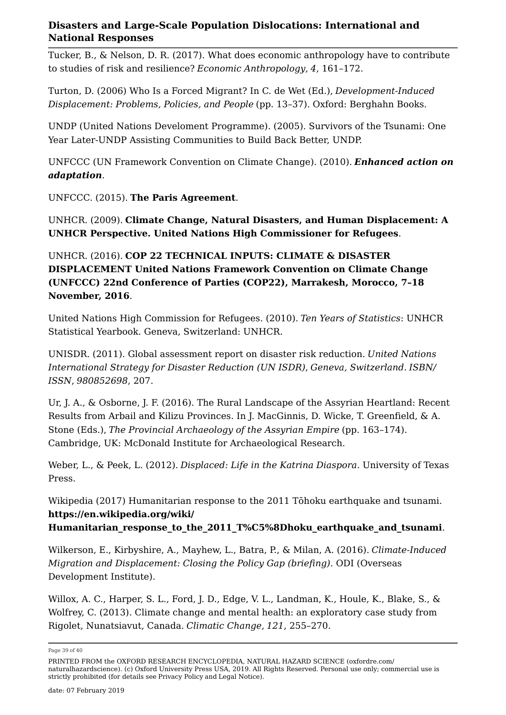Tucker, B., & Nelson, D. R. (2017). What does economic anthropology have to contribute to studies of risk and resilience? *Economic Anthropology*, *4*, 161–172.

Turton, D. (2006) Who Is a Forced Migrant? In C. de Wet (Ed.), *Development-Induced Displacement: Problems, Policies, and People* (pp. 13–37). Oxford: Berghahn Books.

UNDP (United Nations Develoment Programme). (2005). Survivors of the Tsunami: One Year Later-UNDP Assisting Communities to Build Back Better, UNDP.

UNFCCC (UN Framework Convention on Climate Change). (2010). *Enhanced action on adaptation*.

UNFCCC. (2015). **The Paris Agreement**.

UNHCR. (2009). **Climate Change, Natural Disasters, and Human Displacement: A UNHCR Perspective. United Nations High Commissioner for Refugees**.

#### UNHCR. (2016). **COP 22 TECHNICAL INPUTS: CLIMATE & DISASTER DISPLACEMENT United Nations Framework Convention on Climate Change (UNFCCC) 22nd Conference of Parties (COP22), Marrakesh, Morocco, 7–18 November, 2016**.

United Nations High Commission for Refugees. (2010). *Ten Years of Statistics*: UNHCR Statistical Yearbook. Geneva, Switzerland: UNHCR.

UNISDR. (2011). Global assessment report on disaster risk reduction. *United Nations International Strategy for Disaster Reduction (UN ISDR)*, *Geneva, Switzerland*. *ISBN/ ISSN*, *980852698*, 207.

Ur, J. A., & Osborne, J. F. (2016). The Rural Landscape of the Assyrian Heartland: Recent Results from Arbail and Kilizu Provinces. In J. MacGinnis, D. Wicke, T. Greenfield, & A. Stone (Eds.), *The Provincial Archaeology of the Assyrian Empire* (pp. 163–174). Cambridge, UK: McDonald Institute for Archaeological Research.

Weber, L., & Peek, L. (2012). *Displaced: Life in the Katrina Diaspora*. University of Texas Press.

Wikipedia (2017) Humanitarian response to the 2011 Tōhoku earthquake and tsunami. **https://en.wikipedia.org/wiki/**

**Humanitarian\_response\_to\_the\_2011\_T%C5%8Dhoku\_earthquake\_and\_tsunami**.

Wilkerson, E., Kirbyshire, A., Mayhew, L., Batra, P., & Milan, A. (2016). *Climate-Induced Migration and Displacement: Closing the Policy Gap (briefing)*. ODI (Overseas Development Institute).

Willox, A. C., Harper, S. L., Ford, J. D., Edge, V. L., Landman, K., Houle, K., Blake, S., & Wolfrey, C. (2013). Climate change and mental health: an exploratory case study from Rigolet, Nunatsiavut, Canada. *Climatic Change*, *121*, 255–270.

Page 39 of 40

PRINTED FROM the OXFORD RESEARCH ENCYCLOPEDIA, NATURAL HAZARD SCIENCE (oxfordre.com/ naturalhazardscience). (c) Oxford University Press USA, 2019. All Rights Reserved. Personal use only; commercial use is strictly prohibited (for details see Privacy Policy and Legal Notice).